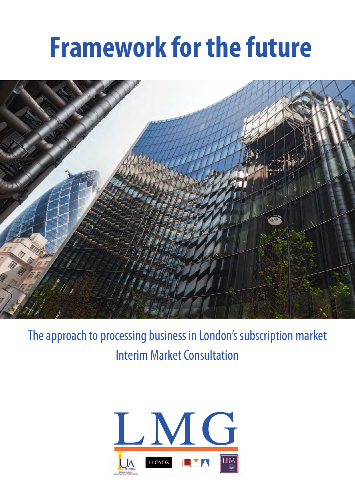# **Framework for the future**



The approach to processing business in London's subscription market Interim Market Consultation

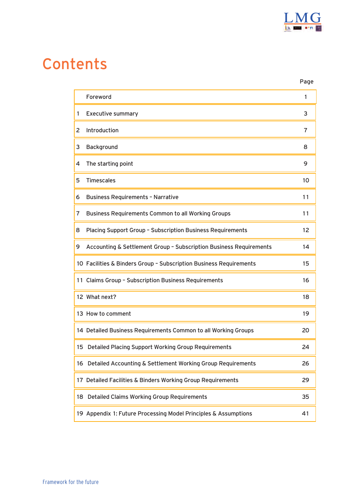

## Contents

|   |                                                                    | Page           |
|---|--------------------------------------------------------------------|----------------|
|   | Foreword                                                           | 1              |
| 1 | <b>Executive summary</b>                                           | 3              |
| 2 | Introduction                                                       | $\overline{7}$ |
| 3 | Background                                                         | 8              |
| 4 | The starting point                                                 | 9              |
| 5 | <b>Timescales</b>                                                  | 10             |
| 6 | <b>Business Requirements - Narrative</b>                           | 11             |
| 7 | <b>Business Requirements Common to all Working Groups</b>          | 11             |
| 8 | Placing Support Group - Subscription Business Requirements         | 12             |
| 9 | Accounting & Settlement Group - Subscription Business Requirements | 14             |
|   | 10 Facilities & Binders Group - Subscription Business Requirements | 15             |
|   | 11 Claims Group - Subscription Business Requirements               | 16             |
|   | 12 What next?                                                      | 18             |
|   | 13 How to comment                                                  | 19             |
|   | 14 Detailed Business Requirements Common to all Working Groups     | 20             |
|   | 15 Detailed Placing Support Working Group Requirements             | 24             |
|   | 16 Detailed Accounting & Settlement Working Group Requirements     | 26             |
|   | 17 Detailed Facilities & Binders Working Group Requirements        | 29             |
|   | 18 Detailed Claims Working Group Requirements                      | 35             |
|   | 19 Appendix 1: Future Processing Model Principles & Assumptions    | 41             |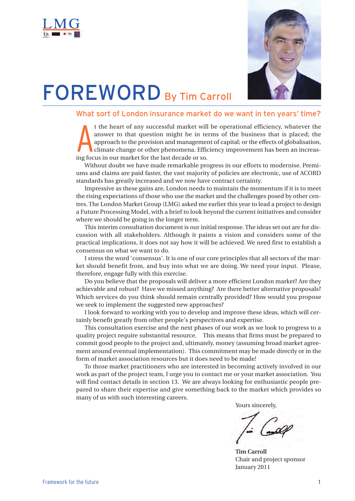<span id="page-2-0"></span>



## **FOREWORD** By Tim Carroll

#### What sort of London insurance market do we want in ten years' time?

**A** t the heart of any successful market will be operational efficiency, whatever the answer to that question might be in terms of the business that is placed; the approach to the provision and management of capital; or the effects of globalisation, climate change or other phenomena. Efficiency improvement has been an increasing focus in our market for the last decade or so.

Without doubt we have made remarkable progress in our efforts to modernise. Premiums and claims are paid faster, the vast majority of policies are electronic, use of ACORD standards has greatly increased and we now have contract certainty.

Impressive as these gains are, London needs to maintain the momentum if it is to meet the rising expectations of those who use the market and the challenges posed by other centres. The London Market Group (LMG) asked me earlier this year to lead a project to design a Future Processing Model, with a brief to look beyond the current initiatives and consider where we should be going in the longer term.

This interim consultation document is our initial response. The ideas set out are for discussion with all stakeholders. Although it paints a vision and considers some of the practical implications, it does not say how it will be achieved. We need first to establish a consensus on what we want to do.

I stress the word 'consensus'. It is one of our core principles that all sectors of the market should benefit from, and buy into what we are doing. We need your input. Please, therefore, engage fully with this exercise.

Do you believe that the proposals will deliver a more efficient London market? Are they achievable and robust? Have we missed anything? Are there better alternative proposals? Which services do you think should remain centrally provided? How would you propose we seek to implement the suggested new approaches?

I look forward to working with you to develop and improve these ideas, which will certainly benefit greatly from other people's perspectives and expertise.

This consultation exercise and the next phases of our work as we look to progress to a quality project require substantial resource. This means that firms must be prepared to commit good people to the project and, ultimately, money (assuming broad market agreement around eventual implementation). This commitment may be made directly or in the form of market association resources but it does need to be made!

To those market practitioners who are interested in becoming actively involved in our work as part of the project team, I urge you to contact me or your market association. You will find contact details in section 13. We are always looking for enthusiastic people prepared to share their expertise and give something back to the market which provides so many of us with such interesting careers.

Yours sincerely,

**Tim Carroll** Chair and project sponsor January 2011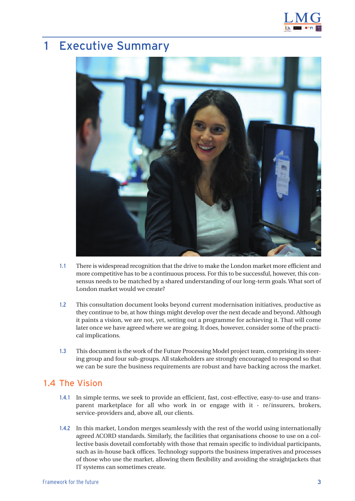

## <span id="page-3-0"></span>1 Executive Summary



- 1.1 There is widespread recognition that the drive to make the London market more efficient and more competitive has to be a continuous process. For this to be successful, however, this consensus needs to be matched by a shared understanding of our long-term goals. What sort of London market would we create?
- 1.2 This consultation document looks beyond current modernisation initiatives, productive as they continue to be, at how things might develop over the next decade and beyond. Although it paints a vision, we are not, yet, setting out a programme for achieving it. That will come later once we have agreed where we are going. It does, however, consider some of the practical implications.
- 1.3 This document is the work of the Future Processing Model project team, comprising its steering group and four sub-groups. All stakeholders are strongly encouraged to respond so that we can be sure the business requirements are robust and have backing across the market.

#### 1.4 The Vision

- 1.4.1 In simple terms, we seek to provide an efficient, fast, cost-effective, easy-to-use and transparent marketplace for all who work in or engage with it - re/insurers, brokers, service-providers and, above all, our clients.
- 1.4.2 In this market, London merges seamlessly with the rest of the world using internationally agreed ACORD standards. Similarly, the facilities that organisations choose to use on a collective basis dovetail comfortably with those that remain specific to individual participants, such as in-house back offices. Technology supports the business imperatives and processes of those who use the market, allowing them flexibility and avoiding the straightjackets that IT systems can sometimes create.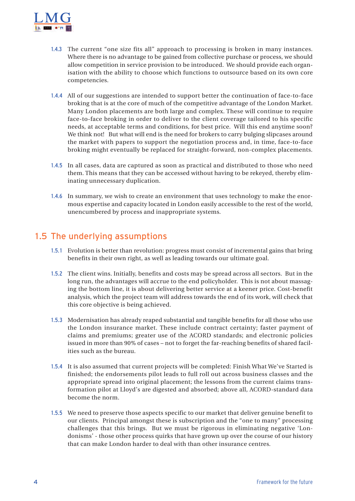

- 1.4.3 The current "one size fits all" approach to processing is broken in many instances. Where there is no advantage to be gained from collective purchase or process, we should allow competition in service provision to be introduced. We should provide each organisation with the ability to choose which functions to outsource based on its own core competencies.
- 1.4.4 All of our suggestions are intended to support better the continuation of face-to-face broking that is at the core of much of the competitive advantage of the London Market. Many London placements are both large and complex. These will continue to require face-to-face broking in order to deliver to the client coverage tailored to his specific needs, at acceptable terms and conditions, for best price. Will this end anytime soon? We think not! But what will end is the need for brokers to carry bulging slipcases around the market with papers to support the negotiation process and, in time, face-to-face broking might eventually be replaced for straight-forward, non-complex placements.
- 1.4.5 In all cases, data are captured as soon as practical and distributed to those who need them. This means that they can be accessed without having to be rekeyed, thereby eliminating unnecessary duplication.
- 1.4.6 In summary, we wish to create an environment that uses technology to make the enormous expertise and capacity located in London easily accessible to the rest of the world, unencumbered by process and inappropriate systems.

#### 1.5 The underlying assumptions

- 1.5.1 Evolution is better than revolution: progress must consist of incremental gains that bring benefits in their own right, as well as leading towards our ultimate goal.
- 1.5.2 The client wins. Initially, benefits and costs may be spread across all sectors. But in the long run, the advantages will accrue to the end policyholder. This is not about massaging the bottom line, it is about delivering better service at a keener price. Cost-benefit analysis, which the project team will address towards the end of its work, will check that this core objective is being achieved.
- 1.5.3 Modernisation has already reaped substantial and tangible benefits for all those who use the London insurance market. These include contract certainty; faster payment of claims and premiums; greater use of the ACORD standards; and electronic policies issued in more than 90% of cases – not to forget the far-reaching benefits of shared facilities such as the bureau.
- 1.5.4 It is also assumed that current projects will be completed: Finish What We've Started is finished; the endorsements pilot leads to full roll out across business classes and the appropriate spread into original placement; the lessons from the current claims transformation pilot at Lloyd's are digested and absorbed; above all, ACORD-standard data become the norm.
- 1.5.5 We need to preserve those aspects specific to our market that deliver genuine benefit to our clients. Principal amongst these is subscription and the "one to many" processing challenges that this brings. But we must be rigorous in eliminating negative 'Londonisms' - those other process quirks that have grown up over the course of our history that can make London harder to deal with than other insurance centres.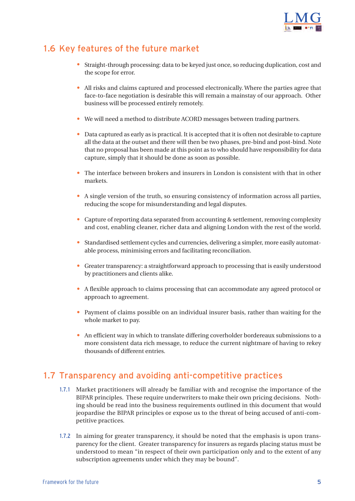

#### 1.6 Key features of the future market

- Straight-through processing: data to be keyed just once, so reducing duplication, cost and the scope for error.
- All risks and claims captured and processed electronically. Where the parties agree that face-to-face negotiation is desirable this will remain a mainstay of our approach. Other business will be processed entirely remotely.
- We will need a method to distribute ACORD messages between trading partners.
- Data captured as early as is practical. It is accepted that it is often not desirable to capture all the data at the outset and there will then be two phases, pre-bind and post-bind. Note that no proposal has been made at this point as to who should have responsibility for data capture, simply that it should be done as soon as possible.
- The interface between brokers and insurers in London is consistent with that in other markets.
- A single version of the truth, so ensuring consistency of information across all parties, reducing the scope for misunderstanding and legal disputes.
- Capture of reporting data separated from accounting & settlement, removing complexity and cost, enabling cleaner, richer data and aligning London with the rest of the world.
- Standardised settlement cycles and currencies, delivering a simpler, more easily automatable process, minimising errors and facilitating reconciliation.
- Greater transparency: a straightforward approach to processing that is easily understood by practitioners and clients alike.
- A flexible approach to claims processing that can accommodate any agreed protocol or approach to agreement.
- Payment of claims possible on an individual insurer basis, rather than waiting for the whole market to pay.
- An efficient way in which to translate differing coverholder bordereaux submissions to a more consistent data rich message, to reduce the current nightmare of having to rekey thousands of different entries.

#### 1.7 Transparency and avoiding anti-competitive practices

- 1.7.1 Market practitioners will already be familiar with and recognise the importance of the BIPAR principles. These require underwriters to make their own pricing decisions. Nothing should be read into the business requirements outlined in this document that would jeopardise the BIPAR principles or expose us to the threat of being accused of anti-competitive practices.
- 1.7.2 In aiming for greater transparency, it should be noted that the emphasis is upon transparency for the client. Greater transparency for insurers as regards placing status must be understood to mean "in respect of their own participation only and to the extent of any subscription agreements under which they may be bound".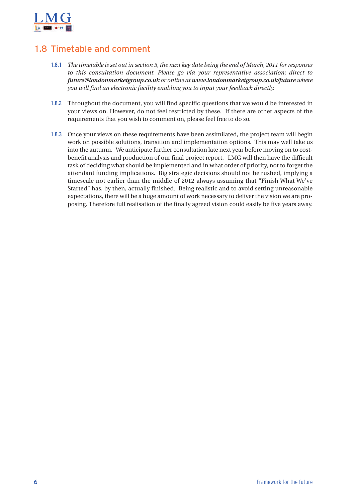

#### 1.8 Timetable and comment

- 1.8.1 *The timetable is set out in section 5, the next key date being the end of March, 2011 for responses to this consultation document. Please go via your representative association; direct to future@londonmarketgroup.co.uk or online at [www.londonmarketgroup.co.uk/future](http://www.londonmarketgroup.co.uk/index.php?option=com_content&view=category&id=85&Itemid=194) [where](http://www.londonmarketgroup.co.uk/index.php?option=com_content&view=category&id=85&Itemid=194) you will find an electronic facility enabling you to input your feedback directly.*
- 1.8.2 Throughout the document, you will find specific questions that we would be interested in your views on. However, do not feel restricted by these. If there are other aspects of the requirements that you wish to comment on, please feel free to do so.
- 1.8.3 Once your views on these requirements have been assimilated, the project team will begin work on possible solutions, transition and implementation options. This may well take us into the autumn. We anticipate further consultation late next year before moving on to costbenefit analysis and production of our final project report. LMG will then have the difficult task of deciding what should be implemented and in what order of priority, not to forget the attendant funding implications. Big strategic decisions should not be rushed, implying a timescale not earlier than the middle of 2012 always assuming that "Finish What We've Started" has, by then, actually finished. Being realistic and to avoid setting unreasonable expectations, there will be a huge amount of work necessary to deliver the vision we are proposing. Therefore full realisation of the finally agreed vision could easily be five years away.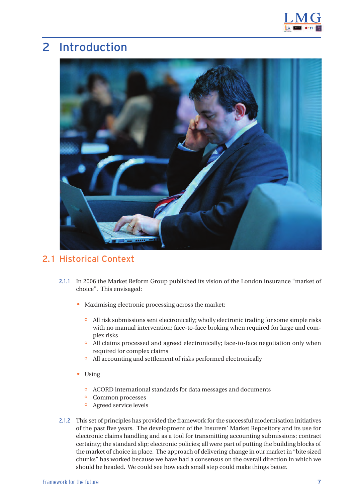

## <span id="page-7-0"></span>2 Introduction



#### 2.1 Historical Context

- 2.1.1 In 2006 the Market Reform Group published its vision of the London insurance "market of choice". This envisaged:
	- Maximising electronic processing across the market:
		- o All risk submissions sent electronically; wholly electronic trading for some simple risks with no manual intervention; face-to-face broking when required for large and complex risks
		- o All claims processed and agreed electronically; face-to-face negotiation only when required for complex claims
		- o All accounting and settlement of risks performed electronically
	- Using
		- o ACORD international standards for data messages and documents
		- o Common processes
		- o Agreed service levels
- 2.1.2 This set of principles has provided the framework for the successful modernisation initiatives of the past five years. The development of the Insurers' Market Repository and its use for electronic claims handling and as a tool for transmitting accounting submissions; contract certainty; the standard slip; electronic policies; all were part of putting the building blocks of the market of choice in place. The approach of delivering change in our market in "bite sized chunks" has worked because we have had a consensus on the overall direction in which we should be headed. We could see how each small step could make things better.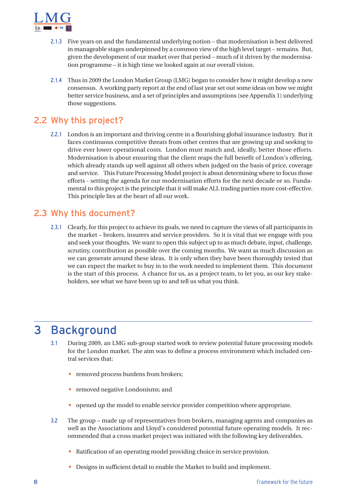<span id="page-8-0"></span>

- 2.1.3 Five years on and the fundamental underlying notion that modernisation is best delivered in manageable stages underpinned by a common view of the high level target – remains. But, given the development of our market over that period – much of it driven by the modernisation programme – it is high time we looked again at our overall vision.
- 2.1.4 Thus in 2009 the London Market Group (LMG) began to consider how it might develop a new consensus. A working party report at the end of last year set out some ideas on how we might better service business, and a set of principles and assumptions (see Appendix 1) underlying those suggestions.

#### 2.2 Why this project?

2.2.1 London is an important and thriving centre in a flourishing global insurance industry. But it faces continuous competitive threats from other centres that are growing up and seeking to drive ever lower operational costs. London must match and, ideally, better those efforts. Modernisation is about ensuring that the client reaps the full benefit of London's offering, which already stands up well against all others when judged on the basis of price, coverage and service. This Future Processing Model project is about determining where to focus those efforts - setting the agenda for our modernisation efforts for the next decade or so. Fundamental to this project is the principle that it will make ALL trading parties more cost-effective. This principle lies at the heart of all our work.

#### 2.3 Why this document?

2.3.1 Clearly, for this project to achieve its goals, we need to capture the views of all participants in the market – brokers, insurers and service providers. So it is vital that we engage with you and seek your thoughts. We want to open this subject up to as much debate, input, challenge, scrutiny, contribution as possible over the coming months. We want as much discussion as we can generate around these ideas. It is only when they have been thoroughly tested that we can expect the market to buy in to the work needed to implement them. This document is the start of this process. A chance for us, as a project team, to let you, as our key stakeholders, see what we have been up to and tell us what you think.

### 3 Background

- 3.1 During 2009, an LMG sub-group started work to review potential future processing models for the London market. The aim was to define a process environment which included central services that:
	- removed process burdens from brokers;
	- removed negative Londonisms; and
	- opened up the model to enable service provider competition where appropriate.
- 3.2 The group made up of representatives from brokers, managing agents and companies as well as the Associations and Lloyd's considered potential future operating models. It recommended that a cross market project was initiated with the following key deliverables.
	- Ratification of an operating model providing choice in service provision.
	- Designs in sufficient detail to enable the Market to build and implement.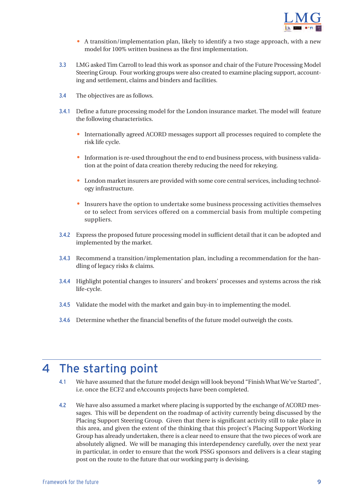

- A transition/implementation plan, likely to identify a two stage approach, with a new model for 100% written business as the first implementation.
- <span id="page-9-0"></span>3.3 LMG asked Tim Carroll to lead this work as sponsor and chair of the Future Processing Model Steering Group. Four working groups were also created to examine placing support, accounting and settlement, claims and binders and facilities.
- 3.4 The objectives are as follows.
- 3.4.1 Define a future processing model for the London insurance market. The model will feature the following characteristics.
	- Internationally agreed ACORD messages support all processes required to complete the risk life cycle.
	- Information is re-used throughout the end to end business process, with business validation at the point of data creation thereby reducing the need for rekeying.
	- London market insurers are provided with some core central services, including technology infrastructure.
	- Insurers have the option to undertake some business processing activities themselves or to select from services offered on a commercial basis from multiple competing suppliers.
- 3.4.2 Express the proposed future processing model in sufficient detail that it can be adopted and implemented by the market.
- 3.4.3 Recommend a transition/implementation plan, including a recommendation for the handling of legacy risks & claims.
- 3.4.4 Highlight potential changes to insurers' and brokers' processes and systems across the risk life-cycle.
- 3.4.5 Validate the model with the market and gain buy-in to implementing the model.
- 3.4.6 Determine whether the financial benefits of the future model outweigh the costs.

## 4 The starting point

- 4.1 We have assumed that the future model design will look beyond "Finish What We've Started", i.e. once the ECF2 and eAccounts projects have been completed.
- 4.2 We have also assumed a market where placing is supported by the exchange of ACORD messages. This will be dependent on the roadmap of activity currently being discussed by the Placing Support Steering Group. Given that there is significant activity still to take place in this area, and given the extent of the thinking that this project's Placing Support Working Group has already undertaken, there is a clear need to ensure that the two pieces of work are absolutely aligned. We will be managing this interdependency carefully, over the next year in particular, in order to ensure that the work PSSG sponsors and delivers is a clear staging post on the route to the future that our working party is devising.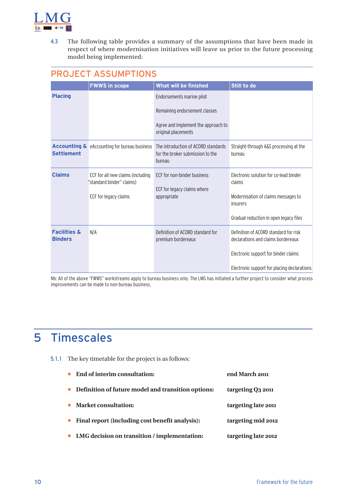<span id="page-10-0"></span>

4.3 The following table provides a summary of the assumptions that have been made in respect of where modernisation initiatives will leave us prior to the future processing model being implemented:

#### PROJECT ASSUMPTIONS

|                                           | <b>FWWS in scope</b>                                           | What will be finished                                                             | Still to do                                                                 |
|-------------------------------------------|----------------------------------------------------------------|-----------------------------------------------------------------------------------|-----------------------------------------------------------------------------|
| <b>Placing</b>                            |                                                                | Endorsements marine pilot                                                         |                                                                             |
|                                           |                                                                | Remaining endorsement classes                                                     |                                                                             |
|                                           |                                                                | Agree and implement the approach to<br>original placements                        |                                                                             |
| <b>Settlement</b>                         | <b>Accounting &amp;</b> eAccounting for bureau business        | The introduction of ACORD standards<br>for the broker submission to the<br>bureau | Straight-through A&S processing at the<br>bureau                            |
| <b>Claims</b>                             | ECF for all new claims (including<br>"standard binder" claims) | ECF for non-binder business<br>ECF for legacy claims where                        | Electronic solution for co-lead binder<br>claims                            |
|                                           | ECF for legacy claims                                          | appropriate                                                                       | Modernisation of claims messages to<br>insurers                             |
|                                           |                                                                |                                                                                   | Gradual reduction in open legacy files                                      |
| <b>Facilities &amp;</b><br><b>Binders</b> | N/A                                                            | Definition of ACORD standard for<br>premium bordereaux                            | Definition of ACORD standard for risk<br>declarations and claims bordereaux |
|                                           |                                                                |                                                                                   | Electronic support for binder claims                                        |
|                                           |                                                                |                                                                                   | Electronic support for placing declarations                                 |

Nb: All of the above "FWWS" workstreams apply to bureau business only. The LMG has initiated a further project to consider what process improvements can be made to non-bureau business.

## 5 Timescales

5.1.1 The key timetable for the project is as follows:

|           | • End of interim consultation:                     | end March 2011      |
|-----------|----------------------------------------------------|---------------------|
| $\bullet$ | Definition of future model and transition options: | targeting Q3 2011   |
|           | • Market consultation:                             | targeting late 2011 |
| $\bullet$ | Final report (including cost benefit analysis):    | targeting mid 2012  |
|           | • LMG decision on transition / implementation:     | targeting late 2012 |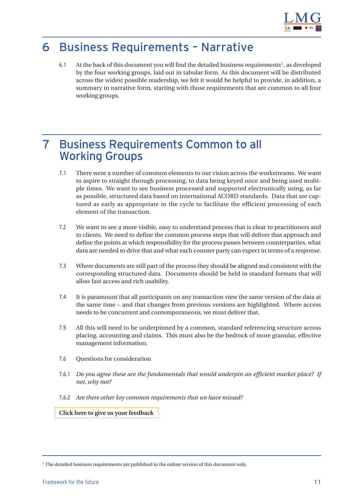

## <span id="page-11-0"></span>6 Business Requirements – Narrative

6.1 At the back of this document you will find the detailed business requirements<sup>1</sup>, as developed by the four working groups, laid out in tabular form. As this document will be distributed across the widest possible readership, we felt it would be helpful to provide, in addition, a summary in narrative form, starting with those requirements that are common to all four working groups.

### 7 Business Requirements Common to all Working Groups

- 7.1 There were a number of common elements to our vision across the workstreams. We want to aspire to straight through processing, to data being keyed once and being used multiple times. We want to see business processed and supported electronically using, as far as possible, structured data based on international ACORD standards. Data that are captured as early as appropriate in the cycle to facilitate the efficient processing of each element of the transaction.
- 7.2 We want to see a more visible, easy to understand process that is clear to practitioners and to clients. We need to define the common process steps that will deliver that approach and define the points at which responsibility for the process passes between counterparties, what data are needed to drive that and what each counter party can expect in terms of a response.
- 7.3 Where documents are still part of the process they should be aligned and consistent with the corresponding structured data. Documents should be held in standard formats that will allow fast access and rich usability.
- 7.4 It is paramount that all participants on any transaction view the same version of the data at the same time – and that changes from previous versions are highlighted. Where access needs to be concurrent and contemporaneous, we must deliver that.
- 7.5 All this will need to be underpinned by a common, standard referencing structure across placing, accounting and claims. This must also be the bedrock of more granular, effective management information.
- 7.6 Questions for consideration
- 7.6.1 *Do you agree these are the fundamentals that would underpin an efficient market place? If not, why not?*
- 7.6.2 *Are there other key common requirements that we have missed?*

**[Click here to give us your feedback](http://www.londonmarketgroup.co.uk/index.php?option=com_content&view=category&id=85&Itemid=194)**

<sup>&</sup>lt;sup>1</sup> The detailed business requirements are published in the online version of this document only.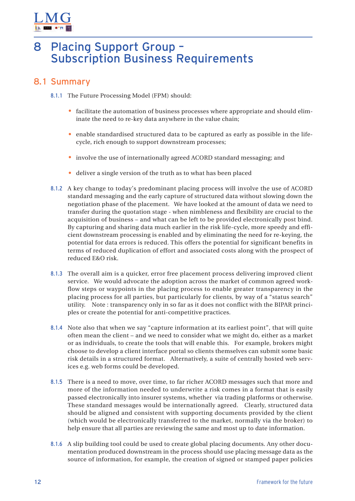<span id="page-12-0"></span>

## 8 Placing Support Group – Subscription Business Requirements

- 8.1.1 The Future Processing Model (FPM) should:
	- facilitate the automation of business processes where appropriate and should eliminate the need to re-key data anywhere in the value chain;
	- enable standardised structured data to be captured as early as possible in the lifecycle, rich enough to support downstream processes;
	- involve the use of internationally agreed ACORD standard messaging; and
	- deliver a single version of the truth as to what has been placed
- 8.1.2 A key change to today's predominant placing process will involve the use of ACORD standard messaging and the early capture of structured data without slowing down the negotiation phase of the placement. We have looked at the amount of data we need to transfer during the quotation stage - when nimbleness and flexibility are crucial to the acquisition of business – and what can be left to be provided electronically post bind. By capturing and sharing data much earlier in the risk life-cycle, more speedy and efficient downstream processing is enabled and by eliminating the need for re-keying, the potential for data errors is reduced. This offers the potential for significant benefits in terms of reduced duplication of effort and associated costs along with the prospect of reduced E&O risk.
- 8.1.3 The overall aim is a quicker, error free placement process delivering improved client service. We would advocate the adoption across the market of common agreed workflow steps or waypoints in the placing process to enable greater transparency in the placing process for all parties, but particularly for clients, by way of a "status search" utility. Note : transparency only in so far as it does not conflict with the BIPAR principles or create the potential for anti-competitive practices.
- 8.1.4 Note also that when we say "capture information at its earliest point", that will quite often mean the client – and we need to consider what we might do, either as a market or as individuals, to create the tools that will enable this. For example, brokers might choose to develop a client interface portal so clients themselves can submit some basic risk details in a structured format. Alternatively, a suite of centrally hosted web services e.g. web forms could be developed.
- 8.1.5 There is a need to move, over time, to far richer ACORD messages such that more and more of the information needed to underwrite a risk comes in a format that is easily passed electronically into insurer systems, whether via trading platforms or otherwise. These standard messages would be internationally agreed. Clearly, structured data should be aligned and consistent with supporting documents provided by the client (which would be electronically transferred to the market, normally via the broker) to help ensure that all parties are reviewing the same and most up to date information.
- 8.1.6 A slip building tool could be used to create global placing documents. Any other documentation produced downstream in the process should use placing message data as the source of information, for example, the creation of signed or stamped paper policies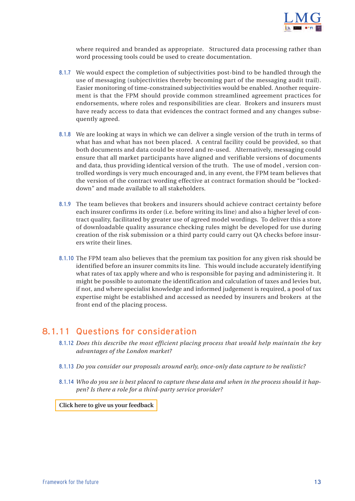

where required and branded as appropriate. Structured data processing rather than word processing tools could be used to create documentation.

- 8.1.7 We would expect the completion of subjectivities post-bind to be handled through the use of messaging (subjectivities thereby becoming part of the messaging audit trail). Easier monitoring of time-constrained subjectivities would be enabled. Another requirement is that the FPM should provide common streamlined agreement practices for endorsements, where roles and responsibilities are clear. Brokers and insurers must have ready access to data that evidences the contract formed and any changes subsequently agreed.
- 8.1.8 We are looking at ways in which we can deliver a single version of the truth in terms of what has and what has not been placed. A central facility could be provided, so that both documents and data could be stored and re-used. Alternatively, messaging could ensure that all market participants have aligned and verifiable versions of documents and data, thus providing identical version of the truth. The use of model , version controlled wordings is very much encouraged and, in any event, the FPM team believes that the version of the contract wording effective at contract formation should be "lockeddown" and made available to all stakeholders.
- 8.1.9 The team believes that brokers and insurers should achieve contract certainty before each insurer confirms its order (i.e. before writing its line) and also a higher level of contract quality, facilitated by greater use of agreed model wordings. To deliver this a store of downloadable quality assurance checking rules might be developed for use during creation of the risk submission or a third party could carry out QA checks before insurers write their lines.
- 8.1.10 The FPM team also believes that the premium tax position for any given risk should be identified before an insurer commits its line. This would include accurately identifying what rates of tax apply where and who is responsible for paying and administering it. It might be possible to automate the identification and calculation of taxes and levies but, if not, and where specialist knowledge and informed judgement is required, a pool of tax expertise might be established and accessed as needed by insurers and brokers at the front end of the placing process.

#### 8.1.11 Questions for consideration

- 8.1.12 *Does this describe the most efficient placing process that would help maintain the key advantages of the London market?*
- 8.1.13 *Do you consider our proposals around early, once-only data capture to be realistic?*
- 8.1.14 *Who do you see is best placed to capture these data and when in the process should it happen? Is there a role for a third-party service provider?*

#### **[Click here to give us your feedback](http://www.londonmarketgroup.co.uk/index.php?option=com_content&view=category&id=85&Itemid=194)**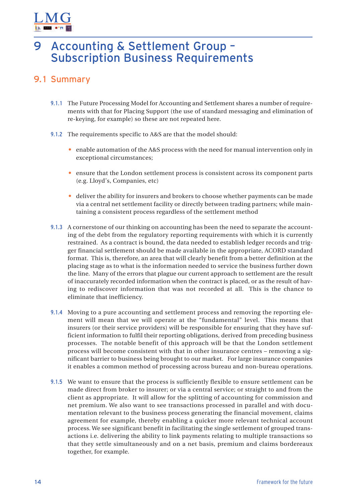<span id="page-14-0"></span>

### 9 Accounting & Settlement Group – Subscription Business Requirements

- 9.1.1 The Future Processing Model for Accounting and Settlement shares a number of requirements with that for Placing Support (the use of standard messaging and elimination of re-keying, for example) so these are not repeated here.
- 9.1.2 The requirements specific to A&S are that the model should:
	- enable automation of the A&S process with the need for manual intervention only in exceptional circumstances;
	- ensure that the London settlement process is consistent across its component parts (e.g. Lloyd's, Companies, etc)
	- deliver the ability for insurers and brokers to choose whether payments can be made via a central net settlement facility or directly between trading partners; while maintaining a consistent process regardless of the settlement method
- 9.1.3 A cornerstone of our thinking on accounting has been the need to separate the accounting of the debt from the regulatory reporting requirements with which it is currently restrained. As a contract is bound, the data needed to establish ledger records and trigger financial settlement should be made available in the appropriate, ACORD standard format. This is, therefore, an area that will clearly benefit from a better definition at the placing stage as to what is the information needed to service the business further down the line. Many of the errors that plague our current approach to settlement are the result of inaccurately recorded information when the contract is placed, or as the result of having to rediscover information that was not recorded at all. This is the chance to eliminate that inefficiency.
- 9.1.4 Moving to a pure accounting and settlement process and removing the reporting element will mean that we will operate at the "fundamental" level. This means that insurers (or their service providers) will be responsible for ensuring that they have sufficient information to fulfil their reporting obligations, derived from preceding business processes. The notable benefit of this approach will be that the London settlement process will become consistent with that in other insurance centres – removing a significant barrier to business being brought to our market. For large insurance companies it enables a common method of processing across bureau and non-bureau operations.
- 9.1.5 We want to ensure that the process is sufficiently flexible to ensure settlement can be made direct from broker to insurer; or via a central service; or straight to and from the client as appropriate. It will allow for the splitting of accounting for commission and net premium. We also want to see transactions processed in parallel and with documentation relevant to the business process generating the financial movement, claims agreement for example, thereby enabling a quicker more relevant technical account process. We see significant benefit in facilitating the single settlement of grouped transactions i.e. delivering the ability to link payments relating to multiple transactions so that they settle simultaneously and on a net basis, premium and claims bordereaux together, for example.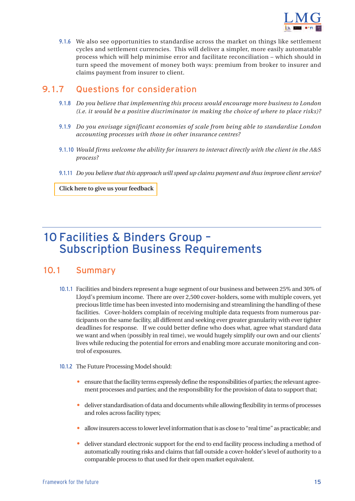

<span id="page-15-0"></span>9.1.6 We also see opportunities to standardise across the market on things like settlement cycles and settlement currencies. This will deliver a simpler, more easily automatable process which will help minimise error and facilitate reconciliation – which should in turn speed the movement of money both ways: premium from broker to insurer and claims payment from insurer to client.

#### 9.1.7 Questions for consideration

- 9.1.8 *Do you believe that implementing this process would encourage more business to London (i.e. it would be a positive discriminator in making the choice of where to place risks)?*
- 9.1.9 *Do you envisage significant economies of scale from being able to standardise London accounting processes with those in other insurance centres?*
- 9.1.10 *Would firms welcome the ability for insurers to interact directly with the client in the A&S process?*
- 9.1.11 *Do you believe that this approach will speed up claims payment and thus improve client service?*

**[Click here to give us your feedback](http://www.londonmarketgroup.co.uk/index.php?option=com_content&view=category&id=85&Itemid=194)**

## 10 Facilities & Binders Group – Subscription Business Requirements

- 10.1.1 Facilities and binders represent a huge segment of our business and between 25% and 30% of Lloyd's premium income. There are over 2,500 cover-holders, some with multiple covers, yet precious little time has been invested into modernising and streamlining the handling of these facilities. Cover-holders complain of receiving multiple data requests from numerous participants on the same facility, all different and seeking ever greater granularity with ever tighter deadlines for response. If we could better define who does what, agree what standard data we want and when (possibly in real time), we would hugely simplify our own and our clients' lives while reducing the potential for errors and enabling more accurate monitoring and control of exposures.
- 10.1.2 The Future Processing Model should:
	- ensure that the facility terms expressly define the responsibilities of parties; the relevant agreement processes and parties; and the responsibility for the provision of data to support that;
	- deliver standardisation of data and documents while allowing flexibility in terms of processes and roles across facility types;
	- allow insurers access to lower level information that is as close to "real time" as practicable; and
	- deliver standard electronic support for the end to end facility process including a method of automatically routing risks and claims that fall outside a cover-holder's level of authority to a comparable process to that used for their open market equivalent.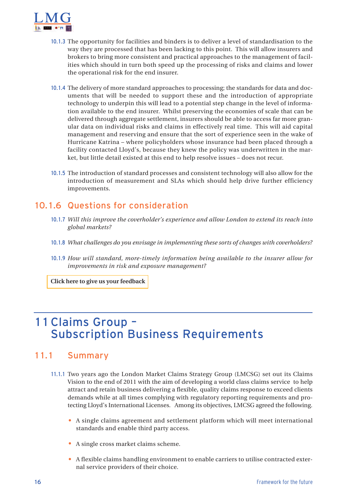<span id="page-16-0"></span>

- 10.1.3 The opportunity for facilities and binders is to deliver a level of standardisation to the way they are processed that has been lacking to this point. This will allow insurers and brokers to bring more consistent and practical approaches to the management of facilities which should in turn both speed up the processing of risks and claims and lower the operational risk for the end insurer.
- 10.1.4 The delivery of more standard approaches to processing; the standards for data and documents that will be needed to support these and the introduction of appropriate technology to underpin this will lead to a potential step change in the level of information available to the end insurer. Whilst preserving the economies of scale that can be delivered through aggregate settlement, insurers should be able to access far more granular data on individual risks and claims in effectively real time. This will aid capital management and reserving and ensure that the sort of experience seen in the wake of Hurricane Katrina – where policyholders whose insurance had been placed through a facility contacted Lloyd's, because they knew the policy was underwritten in the market, but little detail existed at this end to help resolve issues – does not recur.
- 10.1.5 The introduction of standard processes and consistent technology will also allow for the introduction of measurement and SLAs which should help drive further efficiency improvements.

#### 10.1.6 Questions for consideration

- 10.1.7 *Will this improve the coverholder's experience and allow London to extend its reach into global markets?*
- 10.1.8 *What challenges do you envisage in implementing these sorts of changes with coverholders?*
- 10.1.9 *How will standard, more-timely information being available to the insurer allow for improvements in risk and exposure management?*

**[Click here to give us your feedback](http://www.londonmarketgroup.co.uk/index.php?option=com_content&view=category&id=85&Itemid=194)**

## 11 Claims Group – Subscription Business Requirements

- 11.1.1 Two years ago the London Market Claims Strategy Group (LMCSG) set out its Claims Vision to the end of 2011 with the aim of developing a world class claims service to help attract and retain business delivering a flexible, quality claims response to exceed clients demands while at all times complying with regulatory reporting requirements and protecting Lloyd's International Licenses. Among its objectives, LMCSG agreed the following.
	- A single claims agreement and settlement platform which will meet international standards and enable third party access.
	- A single cross market claims scheme.
	- A flexible claims handling environment to enable carriers to utilise contracted external service providers of their choice.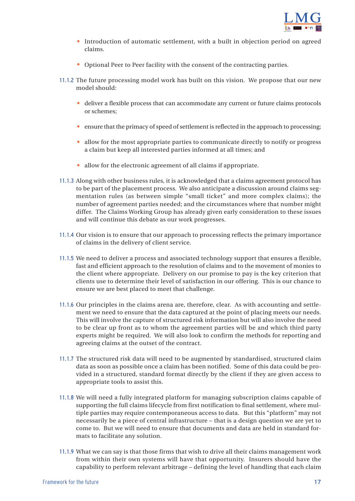

- Introduction of automatic settlement, with a built in objection period on agreed claims.
- Optional Peer to Peer facility with the consent of the contracting parties.
- 11.1.2 The future processing model work has built on this vision. We propose that our new model should:
	- deliver a flexible process that can accommodate any current or future claims protocols or schemes;
	- ensure that the primacy of speed of settlement is reflected in the approach to processing;
	- allow for the most appropriate parties to communicate directly to notify or progress a claim but keep all interested parties informed at all times; and
	- allow for the electronic agreement of all claims if appropriate.
- 11.1.3 Along with other business rules, it is acknowledged that a claims agreement protocol has to be part of the placement process. We also anticipate a discussion around claims segmentation rules (as between simple "small ticket" and more complex claims); the number of agreement parties needed; and the circumstances where that number might differ. The Claims Working Group has already given early consideration to these issues and will continue this debate as our work progresses.
- 11.1.4 Our vision is to ensure that our approach to processing reflects the primary importance of claims in the delivery of client service.
- 11.1.5 We need to deliver a process and associated technology support that ensures a flexible, fast and efficient approach to the resolution of claims and to the movement of monies to the client where appropriate. Delivery on our promise to pay is the key criterion that clients use to determine their level of satisfaction in our offering. This is our chance to ensure we are best placed to meet that challenge.
- 11.1.6 Our principles in the claims arena are, therefore, clear. As with accounting and settlement we need to ensure that the data captured at the point of placing meets our needs. This will involve the capture of structured risk information but will also involve the need to be clear up front as to whom the agreement parties will be and which third party experts might be required. We will also look to confirm the methods for reporting and agreeing claims at the outset of the contract.
- 11.1.7 The structured risk data will need to be augmented by standardised, structured claim data as soon as possible once a claim has been notified. Some of this data could be provided in a structured, standard format directly by the client if they are given access to appropriate tools to assist this.
- 11.1.8 We will need a fully integrated platform for managing subscription claims capable of supporting the full claims lifecycle from first notification to final settlement, where multiple parties may require contemporaneous access to data. But this "platform" may not necessarily be a piece of central infrastructure – that is a design question we are yet to come to. But we will need to ensure that documents and data are held in standard formats to facilitate any solution.
- 11.1.9 What we can say is that those firms that wish to drive all their claims management work from within their own systems will have that opportunity. Insurers should have the capability to perform relevant arbitrage – defining the level of handling that each claim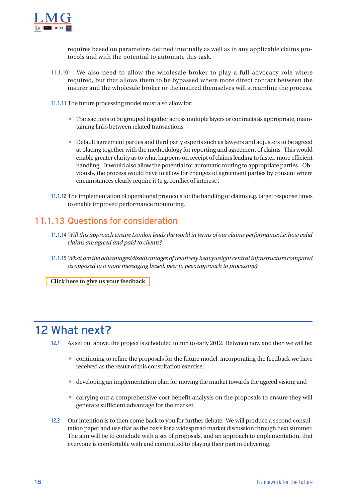<span id="page-18-0"></span>

requires based on parameters defined internally as well as in any applicable claims protocols and with the potential to automate this task.

- 11.1.10 We also need to allow the wholesale broker to play a full advocacy role where required, but that allows them to be bypassed where more direct contact between the insurer and the wholesale broker or the insured themselves will streamline the process.
- 11.1.11 The future processing model must also allow for:
	- Transactions to be grouped together across multiple layers or contracts as appropriate, maintaining links between related transactions.
	- Default agreement parties and third party experts such as lawyers and adjusters to be agreed at placing together with the methodology for reporting and agreement of claims. This would enable greater clarity as to what happens on receipt of claims leading to faster, more efficient handling. It would also allow the potential for automatic routing to appropriate parties. Obviously, the process would have to allow for changes of agreement parties by consent where circumstances clearly require it (e.g. conflict of interest).
- 11.1.12 The implementation of operational protocols for the handling of claims e.g. target response times to enable improved performance monitoring.

#### 11.1.13 Questions for consideration

- 11.1.14 *Will this approach ensure London leads the world in terms of our claims performance; i.e. how valid claims are agreed and paid to clients?*
- 11.1.15 *What are the advantages/disadvantages of relatively heavyweight central infrastructure compared as opposed to a more messaging based, peer to peer, approach to processing?*

**[Click here to give us your feedback](http://www.londonmarketgroup.co.uk/index.php?option=com_content&view=category&id=85&Itemid=194)**

## 12 What next?

- 12.1 As set out above, the project is scheduled to run to early 2012. Between now and then we will be:
	- continuing to refine the proposals for the future model, incorporating the feedback we have received as the result of this consultation exercise;
	- developing an implementation plan for moving the market towards the agreed vision; and
	- carrying out a comprehensive cost benefit analysis on the proposals to ensure they will generate sufficient advantage for the market.
- 12.2 Our intention is to then come back to you for further debate. We will produce a second consultation paper and use that as the basis for a widespread market discussion through next summer. The aim will be to conclude with a set of proposals, and an approach to implementation, that everyone is comfortable with and committed to playing their part in delivering.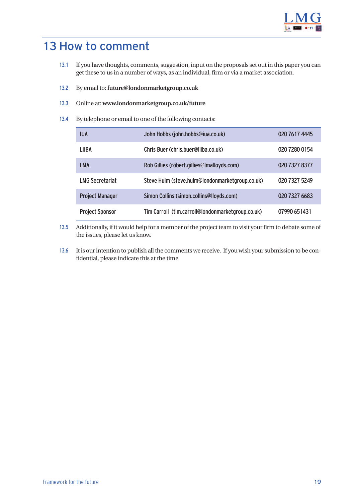

## <span id="page-19-0"></span>13 How to comment

- 13.1 If you have thoughts, comments, suggestion, input on the proposals set out in this paper you can get these to us in a number of ways, as an individual, firm or via a market association.
- 13.2 By email to: **future@londonmarketgroup.co.uk**
- 13.3 Online at: **[www.londonmarketgroup.co.uk/future](http://www.londonmarketgroup.co.uk/index.php?option=com_content&view=category&id=85&Itemid=194)**
- 13.4 By telephone or email to one of the following contacts:

| <b>IUA</b>             | John Hobbs (john.hobbs@iua.co.uk)                 | 020 7617 4445 |
|------------------------|---------------------------------------------------|---------------|
| LIIBA                  | Chris Buer (chris.buer@liiba.co.uk)               | 020 7280 0154 |
| LMA                    | Rob Gillies (robert.gillies@Imalloyds.com)        | 020 7327 8377 |
| <b>LMG Secretariat</b> | Steve Hulm (steve.hulm@londonmarketgroup.co.uk)   | 020 7327 5249 |
| <b>Project Manager</b> | Simon Collins (simon.collins@lloyds.com)          | 020 7327 6683 |
| <b>Project Sponsor</b> | Tim Carroll (tim.carroll@londonmarketgroup.co.uk) | 07990 651431  |

- 13.5 Additionally, if it would help for a member of the project team to visit your firm to debate some of the issues, please let us know.
- 13.6 It is our intention to publish all the comments we receive. If you wish your submission to be confidential, please indicate this at the time.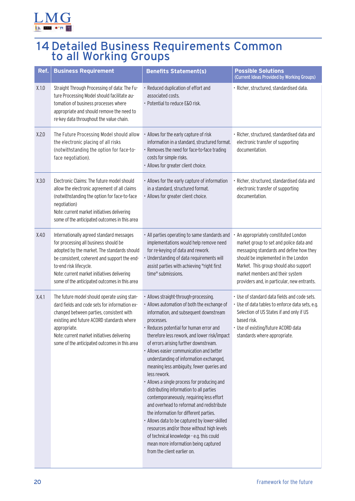<span id="page-20-0"></span>

## 14 Detailed Business Requirements Common to all Working Groups

| Ref.  | <b>Business Requirement</b>                                                                                                                                                                                                                                                                                | <b>Benefits Statement(s)</b>                                                                                                                                                                                                                                                                                                                                                                                                                                                                                                                                                                                                                                                                                                                                                                                                                                                        | <b>Possible Solutions</b><br>(Current Ideas Provided by Working Groups)                                                                                                                                                                                                                      |
|-------|------------------------------------------------------------------------------------------------------------------------------------------------------------------------------------------------------------------------------------------------------------------------------------------------------------|-------------------------------------------------------------------------------------------------------------------------------------------------------------------------------------------------------------------------------------------------------------------------------------------------------------------------------------------------------------------------------------------------------------------------------------------------------------------------------------------------------------------------------------------------------------------------------------------------------------------------------------------------------------------------------------------------------------------------------------------------------------------------------------------------------------------------------------------------------------------------------------|----------------------------------------------------------------------------------------------------------------------------------------------------------------------------------------------------------------------------------------------------------------------------------------------|
| X.1.0 | Straight Through Processing of data: The Fu-<br>ture Processing Model should facilitate au-<br>tomation of business processes where<br>appropriate and should remove the need to<br>re-key data throughout the value chain.                                                                                | · Reduced duplication of effort and<br>associated costs.<br>· Potential to reduce E&O risk.                                                                                                                                                                                                                                                                                                                                                                                                                                                                                                                                                                                                                                                                                                                                                                                         | · Richer, structured, standardised data.                                                                                                                                                                                                                                                     |
| X.2.0 | The Future Processing Model should allow<br>the electronic placing of all risks<br>(notwithstanding the option for face-to-<br>face negotiation).                                                                                                                                                          | • Allows for the early capture of risk<br>information in a standard, structured format.<br>· Removes the need for face-to-face trading<br>costs for simple risks.<br>· Allows for greater client choice.                                                                                                                                                                                                                                                                                                                                                                                                                                                                                                                                                                                                                                                                            | · Richer, structured, standardised data and<br>electronic transfer of supporting<br>documentation.                                                                                                                                                                                           |
| X.3.0 | Electronic Claims: The future model should<br>allow the electronic agreement of all claims<br>(notwithstanding the option for face-to-face<br>negotiation)<br>Note: current market initiatives delivering<br>some of the anticipated outcomes in this area                                                 | • Allows for the early capture of information<br>in a standard, structured format.<br>· Allows for greater client choice.                                                                                                                                                                                                                                                                                                                                                                                                                                                                                                                                                                                                                                                                                                                                                           | · Richer, structured, standardised data and<br>electronic transfer of supporting<br>documentation.                                                                                                                                                                                           |
| X.4.0 | Internationally agreed standard messages<br>for processing all business should be<br>adopted by the market. The standards should<br>be consistent, coherent and support the end-<br>to-end risk lifecycle.<br>Note: current market initiatives delivering<br>some of the anticipated outcomes in this area | • All parties operating to same standards and<br>implementations would help remove need<br>for re-keying of data and rework.<br>Understanding of data requirements will<br>assist parties with achieving "right first<br>time" submissions.                                                                                                                                                                                                                                                                                                                                                                                                                                                                                                                                                                                                                                         | An appropriately constituted London<br>market group to set and police data and<br>messaging standards and define how they<br>should be implemented in the London<br>Market. This group should also support<br>market members and their system<br>providers and, in particular, new entrants. |
| X.4.1 | The future model should operate using stan-<br>dard fields and code sets for information ex-<br>changed between parties, consistent with<br>existing and future ACORD standards where<br>appropriate.<br>Note: current market initiatives delivering<br>some of the anticipated outcomes in this area      | · Allows straight-through-processing.<br>· Allows automation of both the exchange of<br>information, and subsequent downstream<br>processes.<br>· Reduces potential for human error and<br>therefore less rework, and lower risk/impact<br>of errors arising further downstream.<br>• Allows easier communication and better<br>understanding of information exchanged,<br>meaning less ambiguity, fewer queries and<br>less rework.<br>• Allows a single process for producing and<br>distributing information to all parties<br>contemporaneously, requiring less effort<br>and overhead to reformat and redistribute<br>the information for different parties.<br>· Allows data to be captured by lower-skilled<br>resources and/or those without high levels<br>of technical knowledge - e.g. this could<br>mean more information being captured<br>from the client earlier on. | • Use of standard data fields and code sets.<br>· Use of data tables to enforce data sets, e.g.<br>Selection of US States if and only if US<br>based risk.<br>· Use of existing/future ACORD data<br>standards where appropriate.                                                            |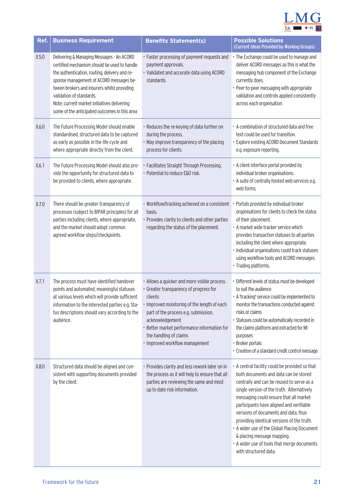

| Ref.  | <b>Business Requirement</b>                                                                                                                                                                                                                                                                                                                                      | <b>Benefits Statement(s)</b>                                                                                                                                                                                                                                                                                           | <b>Possible Solutions</b><br>(Current Ideas Provided by Working Groups)                                                                                                                                                                                                                                                                                                                                                                                                                                              |
|-------|------------------------------------------------------------------------------------------------------------------------------------------------------------------------------------------------------------------------------------------------------------------------------------------------------------------------------------------------------------------|------------------------------------------------------------------------------------------------------------------------------------------------------------------------------------------------------------------------------------------------------------------------------------------------------------------------|----------------------------------------------------------------------------------------------------------------------------------------------------------------------------------------------------------------------------------------------------------------------------------------------------------------------------------------------------------------------------------------------------------------------------------------------------------------------------------------------------------------------|
| X.5.0 | Delivering & Managing Messages - An ACORD<br>certified mechanism should be used to handle<br>the authentication, routing, delivery and re-<br>sponse management of ACORD messages be-<br>tween brokers and insurers whilst providing<br>validation of standards.<br>Note: current market initiatives delivering<br>some of the anticipated outcomes in this area | · Faster processing of payment requests and<br>payment approvals.<br>· Validated and accurate data using ACORD<br>standards.                                                                                                                                                                                           | • The Exchange could be used to manage and<br>deliver ACORD messages as this is what the<br>messaging hub component of the Exchange<br>currently does.<br>• Peer-to-peer messaging with appropriate<br>validation and controls applied consistently<br>across each organisation                                                                                                                                                                                                                                      |
| X.6.0 | The Future Processing Model should enable<br>standardised, structured data to be captured<br>as early as possible in the life cycle and<br>where appropriate directly from the client.                                                                                                                                                                           | · Reduces the re-keying of data further on<br>during the process.<br>• May improve transparency of the placing<br>process for clients.                                                                                                                                                                                 | • A combination of structured data and free<br>text could be used for transition.<br>· Explore existing ACORD Document Standards<br>e.g. exposure reporting.                                                                                                                                                                                                                                                                                                                                                         |
| X.6.1 | The Future Processing Model should also pro-<br>vide the opportunity for structured data to<br>be provided to clients, where appropriate.                                                                                                                                                                                                                        | · Facilitates Straight Through Processing.<br>· Potential to reduce E&O risk.                                                                                                                                                                                                                                          | • A client interface portal provided by<br>individual broker organisations.<br>• A suite of centrally hosted web services e.g.<br>web forms.                                                                                                                                                                                                                                                                                                                                                                         |
| X.7.0 | There should be greater transparency of<br>processes (subject to BIPAR principles) for all<br>parties including clients, where appropriate,<br>and the market should adopt common<br>agreed workflow steps/checkpoints.                                                                                                                                          | • Workflow/tracking achieved on a consistent<br>basis.<br>• Provides clarity to clients and other parties<br>regarding the status of the placement.                                                                                                                                                                    | Portals provided by individual broker<br>organisations for clients to check the status<br>of their placement.<br>• A market wide tracker service which<br>provides transaction statuses to all parties<br>including the client where appropriate.<br>· Individual organisations could track statuses<br>using workflow tools and ACORD messages.<br>• Trading platforms.                                                                                                                                             |
| X.7.1 | The process must have identified handover<br>points and automated, meaningful statuses<br>at various levels which will provide sufficient<br>information to the interested parties e.g. Sta-<br>tus descriptions should vary according to the<br>audience.                                                                                                       | • Allows a quicker and more visible process.<br>· Greater transparency of progress for<br>clients<br>· Improved monitoring of the length of each<br>part of the process e.g. submission,<br>acknowledgement<br>· Better market performance information for<br>the handling of claims<br>· Improved workflow management | · Different levels of status must be developed<br>to suit the audience<br>• A 'tracking' service could be implemented to<br>monitor the transactions conducted against<br>risks or claims<br>· Statuses could be automatically recorded in<br>the claims platform and extracted for MI<br>purposes<br>• Broker portals<br>• Creation of a standard credit control message                                                                                                                                            |
| X.8.0 | Structured data should be aligned and con-<br>sistent with supporting documents provided<br>by the client.                                                                                                                                                                                                                                                       | · Provides clarity and less rework later on in<br>the process as it will help to ensure that all<br>parties are reviewing the same and most<br>up to date risk information.                                                                                                                                            | • A central facility could be provided so that<br>both documents and data can be stored<br>centrally and can be reused to serve as a<br>single version of the truth. Alternatively<br>messaging could ensure that all market<br>participants have aligned and verifiable<br>versions of documents and data, thus<br>providing identical versions of the truth.<br>• A wider use of the Global Placing Document<br>& placing message mapping.<br>• A wider use of tools that merge documents<br>with structured data. |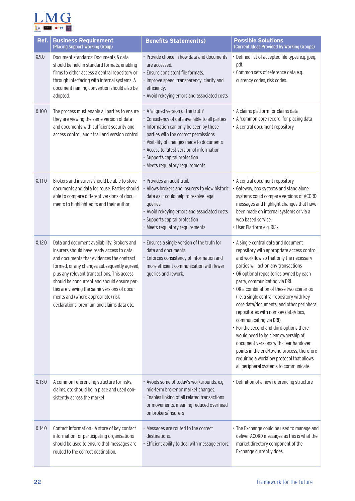

| Ref.   | <b>Business Requirement</b><br>(Placing Support Working Group)                                                                                                                                                                                                                                                                                                                                                        | <b>Benefits Statement(s)</b>                                                                                                                                                                                                                                                                                                          | <b>Possible Solutions</b><br>(Current Ideas Provided by Working Groups)                                                                                                                                                                                                                                                                                                                                                                                                                                                                                                                                                                                                                                                         |
|--------|-----------------------------------------------------------------------------------------------------------------------------------------------------------------------------------------------------------------------------------------------------------------------------------------------------------------------------------------------------------------------------------------------------------------------|---------------------------------------------------------------------------------------------------------------------------------------------------------------------------------------------------------------------------------------------------------------------------------------------------------------------------------------|---------------------------------------------------------------------------------------------------------------------------------------------------------------------------------------------------------------------------------------------------------------------------------------------------------------------------------------------------------------------------------------------------------------------------------------------------------------------------------------------------------------------------------------------------------------------------------------------------------------------------------------------------------------------------------------------------------------------------------|
| X.9.0  | Document standards: Documents & data<br>should be held in standard formats, enabling<br>firms to either access a central repository or<br>through interfacing with internal systems. A<br>document naming convention should also be<br>adopted.                                                                                                                                                                       | • Provide choice in how data and documents<br>are accessed.<br>· Ensure consistent file formats.<br>· Improve speed, transparency, clarity and<br>efficiency.<br>• Avoid rekeying errors and associated costs                                                                                                                         | · Defined list of accepted file types e.g. jpeg,<br>pdf.<br>· Common sets of reference data e.g.<br>currency codes, risk codes.                                                                                                                                                                                                                                                                                                                                                                                                                                                                                                                                                                                                 |
| X.10.0 | The process must enable all parties to ensure<br>they are viewing the same version of data<br>and documents with sufficient security and<br>access control, audit trail and version control.                                                                                                                                                                                                                          | . A 'aligned version of the truth'<br>· Consistency of data available to all parties<br>· Information can only be seen by those<br>parties with the correct permissions<br>• Visibility of changes made to documents<br>• Access to latest version of information<br>· Supports capital protection<br>· Meets regulatory requirements | • A claims platform for claims data<br>• A 'common core record' for placing data<br>• A central document repository                                                                                                                                                                                                                                                                                                                                                                                                                                                                                                                                                                                                             |
| X.11.0 | Brokers and insurers should be able to store<br>documents and data for reuse. Parties should<br>able to compare different versions of docu-<br>ments to highlight edits and their author                                                                                                                                                                                                                              | · Provides an audit trail.<br>• Allows brokers and insurers to view historic<br>data as it could help to resolve legal<br>queries.<br>• Avoid rekeying errors and associated costs<br>· Supports capital protection<br>· Meets regulatory requirements                                                                                | • A central document repository<br>Gateway, box systems and stand alone<br>systems could compare versions of ACORD<br>messages and highlight changes that have<br>been made on internal systems or via a<br>web based service.<br>· User Platform e.g. Ri3k                                                                                                                                                                                                                                                                                                                                                                                                                                                                     |
| X.12.0 | Data and document availability: Brokers and<br>insurers should have ready access to data<br>and documents that evidences the contract<br>formed, or any changes subsequently agreed,<br>plus any relevant transactions. This access<br>should be concurrent and should ensure par-<br>ties are viewing the same versions of docu-<br>ments and (where appropriate) risk<br>declarations, premium and claims data etc. | · Ensures a single version of the truth for<br>data and documents.<br>· Enforces consistency of information and<br>more efficient communication with fewer<br>queries and rework.                                                                                                                                                     | • A single central data and document<br>repository with appropriate access control<br>and workflow so that only the necessary<br>parties will action any transactions<br>• OR optional repositories owned by each<br>party, communicating via DRI.<br>• OR a combination of these two scenarios<br>(i.e. a single central repository with key<br>core data/documents, and other peripheral<br>repositories with non-key data/docs,<br>communicating via DRI).<br>• For the second and third options there<br>would need to be clear ownership of<br>document versions with clear handover<br>points in the end-to-end process, therefore<br>requiring a workflow protocol that allows<br>all peripheral systems to communicate. |
| X.13.0 | A common referencing structure for risks,<br>claims, etc should be in place and used con-<br>sistently across the market                                                                                                                                                                                                                                                                                              | · Avoids some of today's workarounds, e.g.<br>mid-term broker or market changes.<br>· Enables linking of all related transactions<br>or movements, meaning reduced overhead<br>on brokers/insurers                                                                                                                                    | • Definition of a new referencing structure                                                                                                                                                                                                                                                                                                                                                                                                                                                                                                                                                                                                                                                                                     |
| X.14.0 | Contact Information - A store of key contact<br>information for participating organisations<br>should be used to ensure that messages are<br>routed to the correct destination.                                                                                                                                                                                                                                       | • Messages are routed to the correct<br>destinations.<br>· Efficient ability to deal with message errors.                                                                                                                                                                                                                             | • The Exchange could be used to manage and<br>deliver ACORD messages as this is what the<br>market directory component of the<br>Exchange currently does.                                                                                                                                                                                                                                                                                                                                                                                                                                                                                                                                                                       |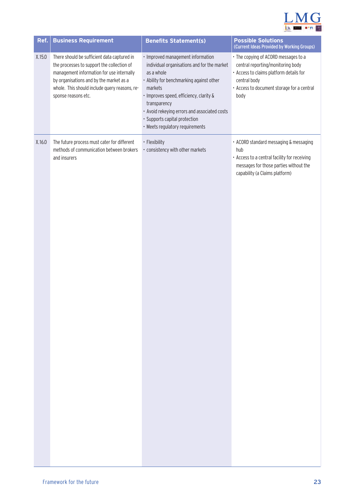

| Ref.   | <b>Business Requirement</b>                                                                                                                                                                                                                               | <b>Benefits Statement(s)</b>                                                                                                                                                                                                                                                                                                         | <b>Possible Solutions</b><br>(Current Ideas Provided by Working Groups)                                                                                                                    |
|--------|-----------------------------------------------------------------------------------------------------------------------------------------------------------------------------------------------------------------------------------------------------------|--------------------------------------------------------------------------------------------------------------------------------------------------------------------------------------------------------------------------------------------------------------------------------------------------------------------------------------|--------------------------------------------------------------------------------------------------------------------------------------------------------------------------------------------|
| X.15.0 | There should be sufficient data captured in<br>the processes to support the collection of<br>management information for use internally<br>by organisations and by the market as a<br>whole. This should include query reasons, re-<br>sponse reasons etc. | · Improved management information<br>individual organisations and for the market<br>as a whole<br>• Ability for benchmarking against other<br>markets<br>· Improves speed, efficiency, clarity &<br>transparency<br>• Avoid rekeying errors and associated costs<br>· Supports capital protection<br>· Meets regulatory requirements | • The copying of ACORD messages to a<br>central reporting/monitoring body<br>• Access to claims platform details for<br>central body<br>• Access to document storage for a central<br>body |
| X.16.0 | The future process must cater for different<br>methods of communication between brokers<br>and insurers                                                                                                                                                   | · Flexibility<br>· consistency with other markets                                                                                                                                                                                                                                                                                    | · ACORD standard messaging & messaging<br>hub<br>• Access to a central facility for receiving<br>messages for those parties without the<br>capability (a Claims platform)                  |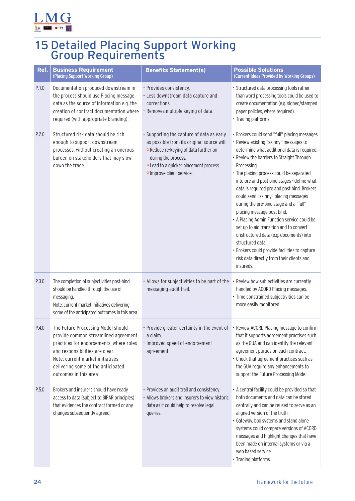<span id="page-24-0"></span>

## 15 Detailed Placing Support Working Group Requirements

| Ref.  | <b>Business Requirement</b><br>(Placing Support Working Group)                                                                                                                                                                                              | <b>Benefits Statement(s)</b>                                                                                                                                                                                                          | <b>Possible Solutions</b><br>(Current Ideas Provided by Working Groups)                                                                                                                                                                                                                                                                                                                                                                                                                                                                                                                                                                                                                                                        |
|-------|-------------------------------------------------------------------------------------------------------------------------------------------------------------------------------------------------------------------------------------------------------------|---------------------------------------------------------------------------------------------------------------------------------------------------------------------------------------------------------------------------------------|--------------------------------------------------------------------------------------------------------------------------------------------------------------------------------------------------------------------------------------------------------------------------------------------------------------------------------------------------------------------------------------------------------------------------------------------------------------------------------------------------------------------------------------------------------------------------------------------------------------------------------------------------------------------------------------------------------------------------------|
| P.1.0 | Documentation produced downstream in<br>the process should use Placing message<br>data as the source of information e.g. the<br>creation of contract documentation where<br>required (with appropriate branding).                                           | · Provides consistency.<br>· Less downstream data capture and<br>corrections.<br>· Removes multiple keying of data.                                                                                                                   | · Structured data processing tools rather<br>than word processing tools could be used to<br>create documentation (e.g. signed/stamped<br>paper policies, where required).<br>· Trading platforms.                                                                                                                                                                                                                                                                                                                                                                                                                                                                                                                              |
| P.2.0 | Structured risk data should be rich<br>enough to support downstream<br>processes, without creating an onerous<br>burden on stakeholders that may slow<br>down the trade.                                                                                    | · Supporting the capture of data as early<br>as possible from its original source will:<br><b>o</b> Reduce re-keying of data further on<br>during the process.<br>o Lead to a quicker placement process.<br>o Improve client service. | · Brokers could send "full" placing messages.<br>· Review existing "skinny" messages to<br>determine what additional data is required.<br>· Review the barriers to Straight Through<br>Processing.<br>• The placing process could be separated<br>into pre and post bind stages - define what<br>data is required pre and post bind. Brokers<br>could send "skinny" placing messages<br>during the pre-bind stage and a "full"<br>placing message post bind.<br>• A Placing Admin Function service could be<br>set up to aid transition and to convert<br>unstructured data (e.g. documents) into<br>structured data.<br>Brokers could provide facilities to capture<br>risk data directly from their clients and<br>insureds. |
| P.3.0 | The completion of subjectivities post-bind<br>should be handled through the use of<br>messaging.<br>Note: current market initiatives delivering<br>some of the anticipated outcomes in this area                                                            | . Allows for subjectivities to be part of the<br>messaging audit trail.                                                                                                                                                               | Review how subjectivities are currently<br>handled by ACORD Placing messages.<br>· Time constrained subjectivities can be<br>more easily monitored.                                                                                                                                                                                                                                                                                                                                                                                                                                                                                                                                                                            |
| P.4.0 | The Future Processing Model should<br>provide common streamlined agreement<br>practices for endorsements, where roles<br>and responsibilities are clear.<br>Note: current market initiatives<br>delivering some of the anticipated<br>outcomes in this area | • Provide greater certainty in the event of • Review ACORD Placing message to confirm<br>a claim.<br>· Improved speed of endorsement<br>agreement.                                                                                    | that it supports agreement practises such<br>as the GUA and can identify the relevant<br>agreement parties on each contract.<br>• Check that agreement practises such as<br>the GUA require any enhancements to<br>support the Future Processing Model.                                                                                                                                                                                                                                                                                                                                                                                                                                                                        |
| P.5.0 | Brokers and insurers should have ready<br>access to data (subject to BIPAR principles)<br>that evidences the contract formed or any<br>changes subsequently agreed.                                                                                         | • Provides an audit trail and consistency.<br>• Allows brokers and insurers to view historic<br>data as it could help to resolve legal<br>queries.                                                                                    | • A central facility could be provided so that<br>both documents and data can be stored<br>centrally and can be reused to serve as an<br>aligned version of the truth.<br>· Gateway, box systems and stand alone<br>systems could compare versions of ACORD<br>messages and highlight changes that have<br>been made on internal systems or via a<br>web based service.<br>· Trading platforms.                                                                                                                                                                                                                                                                                                                                |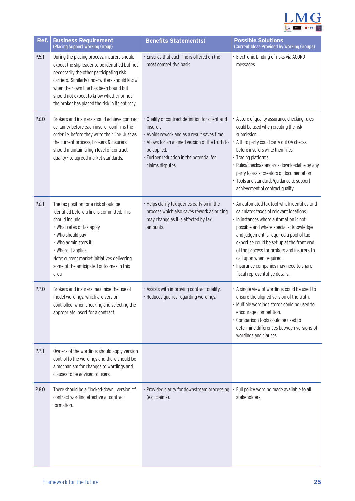

| Ref.  | <b>Business Requirement</b><br>(Placing Support Working Group)                                                                                                                                                                                                                                                                      | <b>Benefits Statement(s)</b>                                                                                                                                                                                                                 | <b>Possible Solutions</b><br>(Current Ideas Provided by Working Groups)                                                                                                                                                                                                                                                                                                                                                      |
|-------|-------------------------------------------------------------------------------------------------------------------------------------------------------------------------------------------------------------------------------------------------------------------------------------------------------------------------------------|----------------------------------------------------------------------------------------------------------------------------------------------------------------------------------------------------------------------------------------------|------------------------------------------------------------------------------------------------------------------------------------------------------------------------------------------------------------------------------------------------------------------------------------------------------------------------------------------------------------------------------------------------------------------------------|
| P.5.1 | During the placing process, insurers should<br>expect the slip leader to be identified but not<br>necessarily the other participating risk<br>carriers. Similarly underwriters should know<br>when their own line has been bound but<br>should not expect to know whether or not<br>the broker has placed the risk in its entirety. | • Ensures that each line is offered on the<br>most competitive basis                                                                                                                                                                         | · Electronic binding of risks via ACORD<br>messages                                                                                                                                                                                                                                                                                                                                                                          |
| P.6.0 | Brokers and insurers should achieve contract<br>certainty before each insurer confirms their<br>order i.e. before they write their line. Just as<br>the current process, brokers & insurers<br>should maintain a high level of contract<br>quality - to agreed market standards.                                                    | · Quality of contract definition for client and<br>insurer.<br>• Avoids rework and as a result saves time.<br>• Allows for an aligned version of the truth to<br>be applied.<br>· Further reduction in the potential for<br>claims disputes. | • A store of quality assurance checking rules<br>could be used when creating the risk<br>submission.<br>• A third party could carry out QA checks<br>before insurers write their lines.<br>· Trading platforms.<br>· Rules/checks/standards downloadable by any<br>party to assist creators of documentation.<br>· Tools and standards/guidance to support<br>achievement of contract quality.                               |
| P.6.1 | The tax position for a risk should be<br>identified before a line is committed. This<br>should include:<br>• What rates of tax apply<br>• Who should pay<br>• Who administers it<br>• Where it applies<br>Note: current market initiatives delivering<br>some of the anticipated outcomes in this<br>area                           | • Helps clarify tax queries early on in the<br>process which also saves rework as pricing<br>may change as it is affected by tax<br>amounts.                                                                                                 | • An automated tax tool which identifies and<br>calculates taxes of relevant locations.<br>· In instances where automation is not<br>possible and where specialist knowledge<br>and judgement is required a pool of tax<br>expertise could be set up at the front end<br>of the process for brokers and insurers to<br>call upon when required.<br>· Insurance companies may need to share<br>fiscal representative details. |
| P.7.0 | Brokers and insurers maximise the use of<br>model wordings, which are version<br>controlled, when checking and selecting the<br>appropriate insert for a contract.                                                                                                                                                                  | · Assists with improving contract quality.<br>· Reduces queries regarding wordings.                                                                                                                                                          | • A single view of wordings could be used to<br>ensure the aligned version of the truth.<br>· Multiple wordings stores could be used to<br>encourage competition.<br>· Comparison tools could be used to<br>determine differences between versions of<br>wordings and clauses.                                                                                                                                               |
| P.7.1 | Owners of the wordings should apply version<br>control to the wordings and there should be<br>a mechanism for changes to wordings and<br>clauses to be advised to users.                                                                                                                                                            |                                                                                                                                                                                                                                              |                                                                                                                                                                                                                                                                                                                                                                                                                              |
| P.8.0 | There should be a "locked-down" version of<br>contract wording effective at contract<br>formation.                                                                                                                                                                                                                                  | • Provided clarity for downstream processing<br>(e.g. claims).                                                                                                                                                                               | Full policy wording made available to all<br>stakeholders.                                                                                                                                                                                                                                                                                                                                                                   |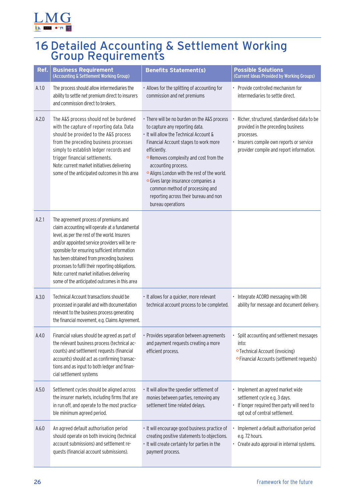<span id="page-26-0"></span>

# 16 Detailed Accounting & Settlement Working Group Requirements

| Ref.  | <b>Business Requirement</b><br>(Accounting & Settlement Working Group)                                                                                                                                                                                                                                                                                                                                                                       | <b>Benefits Statement(s)</b>                                                                                                                                                                                                                                                                                                                                                                                                               | <b>Possible Solutions</b><br>(Current Ideas Provided by Working Groups)                                                                                                                |
|-------|----------------------------------------------------------------------------------------------------------------------------------------------------------------------------------------------------------------------------------------------------------------------------------------------------------------------------------------------------------------------------------------------------------------------------------------------|--------------------------------------------------------------------------------------------------------------------------------------------------------------------------------------------------------------------------------------------------------------------------------------------------------------------------------------------------------------------------------------------------------------------------------------------|----------------------------------------------------------------------------------------------------------------------------------------------------------------------------------------|
| A.1.0 | The process should allow intermediaries the<br>ability to settle net premium direct to insurers<br>and commission direct to brokers.                                                                                                                                                                                                                                                                                                         | • Allows for the splitting of accounting for<br>commission and net premiums                                                                                                                                                                                                                                                                                                                                                                | • Provide controlled mechanism for<br>intermediaries to settle direct.                                                                                                                 |
| A.2.0 | The A&S process should not be burdened<br>with the capture of reporting data. Data<br>should be provided to the A&S process<br>from the preceding business processes<br>simply to establish ledger records and<br>trigger financial settlements.<br>Note: current market initiatives delivering<br>some of the anticipated outcomes in this area                                                                                             | · There will be no burden on the A&S process<br>to capture any reporting data.<br>. It will allow the Technical Account &<br>Financial Account stages to work more<br>efficiently.<br>• Removes complexity and cost from the<br>accounting process.<br>o Aligns London with the rest of the world.<br>· Gives large insurance companies a<br>common method of processing and<br>reporting across their bureau and non<br>bureau operations | Richer, structured, standardised data to be<br>provided in the preceding business<br>processes.<br>Insurers compile own reports or service<br>provider compile and report information. |
| A.2.1 | The agreement process of premiums and<br>claim accounting will operate at a fundamental<br>level, as per the rest of the world. Insurers<br>and/or appointed service providers will be re-<br>sponsible for ensuring sufficient information<br>has been obtained from preceding business<br>processes to fulfil their reporting obligations.<br>Note: current market initiatives delivering<br>some of the anticipated outcomes in this area |                                                                                                                                                                                                                                                                                                                                                                                                                                            |                                                                                                                                                                                        |
| A.3.0 | Technical Account transactions should be<br>processed in parallel and with documentation<br>relevant to the business process generating<br>the financial movement, e.g. Claims Agreement.                                                                                                                                                                                                                                                    | • It allows for a quicker, more relevant<br>technical account process to be completed.                                                                                                                                                                                                                                                                                                                                                     | · Integrate ACORD messaging with DRI<br>ability for message and document delivery.                                                                                                     |
| A.4.0 | Financial values should be agreed as part of<br>the relevant business process (technical ac-<br>counts) and settlement requests (financial<br>accounts) should act as confirming transac-<br>tions and as input to both ledger and finan-<br>cial settlement systems                                                                                                                                                                         | • Provides separation between agreements<br>and payment requests creating a more<br>efficient process.                                                                                                                                                                                                                                                                                                                                     | Split accounting and settlement messages<br>into:<br>• Technical Account (invoicing)<br><b>• Financial Accounts (settlement requests)</b>                                              |
| A.5.0 | Settlement cycles should be aligned across<br>the insurer markets, including firms that are<br>in run off, and operate to the most practica-<br>ble minimum agreed period.                                                                                                                                                                                                                                                                   | · It will allow the speedier settlement of<br>monies between parties, removing any<br>settlement time related delays.                                                                                                                                                                                                                                                                                                                      | · Implement an agreed market wide<br>settlement cycle e.g. 3 days.<br>· If longer required then party will need to<br>opt out of central settlement.                                   |
| A.6.0 | An agreed default authorisation period<br>should operate on both invoicing (technical<br>account submissions) and settlement re-<br>quests (financial account submissions).                                                                                                                                                                                                                                                                  | · It will encourage good business practice of<br>creating positive statements to objections.<br>• It will create certainty for parties in the<br>payment process.                                                                                                                                                                                                                                                                          | Implement a default authorisation period<br>e.g. 72 hours.<br>• Create auto approval in internal systems.                                                                              |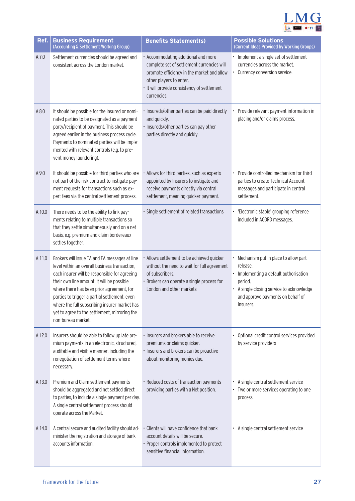

| Ref.   | <b>Business Requirement</b><br>(Accounting & Settlement Working Group)                                                                                                                                                                                                                                                                                                                                              | <b>Benefits Statement(s)</b>                                                                                                                                                                                             | <b>Possible Solutions</b><br>(Current Ideas Provided by Working Groups)                                                                                                                                |
|--------|---------------------------------------------------------------------------------------------------------------------------------------------------------------------------------------------------------------------------------------------------------------------------------------------------------------------------------------------------------------------------------------------------------------------|--------------------------------------------------------------------------------------------------------------------------------------------------------------------------------------------------------------------------|--------------------------------------------------------------------------------------------------------------------------------------------------------------------------------------------------------|
| A.7.0  | Settlement currencies should be agreed and<br>consistent across the London market.                                                                                                                                                                                                                                                                                                                                  | · Accommodating additional and more<br>complete set of settlement currencies will<br>promote efficiency in the market and allow<br>other players to enter.<br>· It will provide consistency of settlement<br>currencies. | • Implement a single set of settlement<br>currencies across the market.<br>• Currency conversion service.                                                                                              |
| A.8.0  | It should be possible for the insured or nomi-<br>nated parties to be designated as a payment<br>party/recipient of payment. This should be<br>agreed earlier in the business process cycle.<br>Payments to nominated parties will be imple-<br>mented with relevant controls (e.g. to pre-<br>vent money laundering).                                                                                              | · Insureds/other parties can be paid directly<br>and quickly.<br>· Insureds/other parties can pay other<br>parties directly and quickly.                                                                                 | Provide relevant payment information in<br>placing and/or claims process.                                                                                                                              |
| A.9.0  | It should be possible for third parties who are<br>not part of the risk contract to instigate pay-<br>ment requests for transactions such as ex-<br>pert fees via the central settlement process.                                                                                                                                                                                                                   | • Allows for third parties, such as experts<br>appointed by Insurers to instigate and<br>receive payments directly via central<br>settlement, meaning quicker payment.                                                   | • Provide controlled mechanism for third<br>parties to create Technical Account<br>messages and participate in central<br>settlement.                                                                  |
| A.10.0 | There needs to be the ability to link pay-<br>ments relating to multiple transactions so<br>that they settle simultaneously and on a net<br>basis, e.g. premium and claim bordereaux<br>settles together.                                                                                                                                                                                                           | · Single settlement of related transactions                                                                                                                                                                              | · 'Electronic staple' grouping reference<br>included in ACORD messages.                                                                                                                                |
| A.11.0 | Brokers will issue TA and FA messages at line<br>level within an overall business transaction,<br>each insurer will be responsible for agreeing<br>their own line amount. It will be possible<br>where there has been prior agreement, for<br>parties to trigger a partial settlement, even<br>where the full subscribing insurer market has<br>yet to agree to the settlement, mirroring the<br>non-bureau market. | · Allows settlement to be achieved quicker<br>without the need to wait for full agreement<br>of subscribers.<br>Brokers can operate a single process for<br>London and other markets                                     | • Mechanism put in place to allow part<br>release.<br>• Implementing a default authorisation<br>period.<br>• A single closing service to acknowledge<br>and approve payments on behalf of<br>insurers. |
| A.12.0 | Insurers should be able to follow up late pre-<br>mium payments in an electronic, structured,<br>auditable and visible manner, including the<br>renegotiation of settlement terms where<br>necessary.                                                                                                                                                                                                               | · Insurers and brokers able to receive<br>premiums or claims quicker.<br>· Insurers and brokers can be proactive<br>about monitoring monies due.                                                                         | • Optional credit control services provided<br>by service providers                                                                                                                                    |
| A.13.0 | Premium and Claim settlement payments<br>should be aggregated and net settled direct<br>to parties, to include a single payment per day.<br>A single central settlement process should<br>operate across the Market.                                                                                                                                                                                                | · Reduced costs of transaction payments<br>providing parties with a Net position.                                                                                                                                        | • A single central settlement service<br>• Two or more services operating to one<br>process                                                                                                            |
| A.14.0 | A central secure and audited facility should ad-<br>minister the registration and storage of bank<br>accounts information.                                                                                                                                                                                                                                                                                          | Clients will have confidence that bank<br>account details will be secure.<br>· Proper controls implemented to protect<br>sensitive financial information.                                                                | • A single central settlement service                                                                                                                                                                  |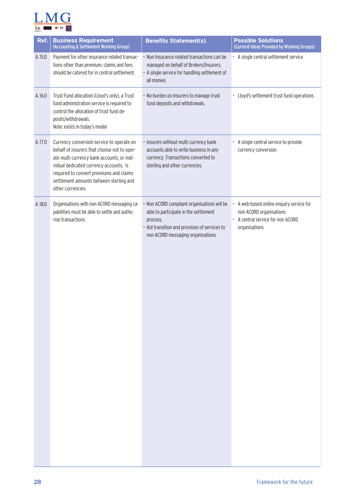

| Ref.   | <b>Business Requirement</b><br>(Accounting & Settlement Working Group)                                                                                                                                                                                                                      | <b>Benefits Statement(s)</b>                                                                                                                                                            | <b>Possible Solutions</b><br>(Current Ideas Provided by Working Groups)                                                 |
|--------|---------------------------------------------------------------------------------------------------------------------------------------------------------------------------------------------------------------------------------------------------------------------------------------------|-----------------------------------------------------------------------------------------------------------------------------------------------------------------------------------------|-------------------------------------------------------------------------------------------------------------------------|
| A.15.0 | Payment for other insurance related transac-<br>tions other than premium, claims and fees<br>should be catered for in central settlement.                                                                                                                                                   | • Non Insurance related transactions can be<br>managed on behalf of Brokers/Insurers.<br>• A single service for handling settlement of<br>all monies.                                   | • A single central settlement service                                                                                   |
| A.16.0 | Trust Fund allocation (Lloyd's only), a Trust<br>fund administration service is required to<br>control the allocation of trust fund de-<br>posits/withdrawals.<br>Note: exists in today's model                                                                                             | • No burden on Insurers to manage trust<br>fund deposits and withdrawals.                                                                                                               | • Lloyd's settlement trust fund operations                                                                              |
| A.17.0 | Currency conversion service to operate on<br>behalf of insurers that choose not to oper-<br>ate multi currency bank accounts, or indi-<br>vidual dedicated currency accounts, is<br>required to convert premiums and claims<br>settlement amounts between sterling and<br>other currencies. | · Insurers without multi currency bank<br>accounts able to write business in any<br>currency. Transactions converted to<br>sterling and other currencies.                               | • A single central service to provide<br>currency conversion                                                            |
| A.18.0 | Organisations with non ACORD messaging ca-<br>pabilities must be able to settle and autho-<br>rise transactions.                                                                                                                                                                            | · Non ACORD compliant organisations will be<br>able to participate in the settlement<br>process.<br>· Aid transition and provision of services to<br>non ACORD messaging organisations. | A web-based online enquiry service for<br>non ACORD organisations<br>• A central service for non ACORD<br>organisations |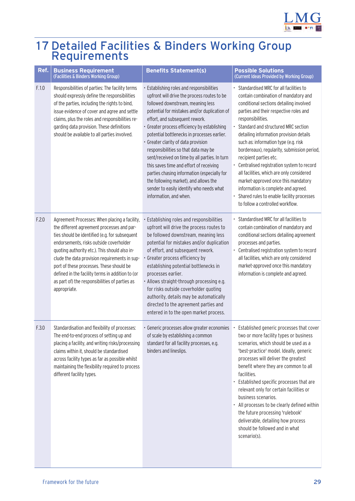

## <span id="page-29-0"></span>17 Detailed Facilities & Binders Working Group Requirements

| Ref.  | <b>Business Requirement</b><br>(Facilities & Binders Working Group)                                                                                                                                                                                                                                                                                                                                                                                          | <b>Benefits Statement(s)</b>                                                                                                                                                                                                                                                                                                                                                                                                                                                                                                                                                                                                                            | <b>Possible Solutions</b><br>(Current Ideas Provided by Working Group)                                                                                                                                                                                                                                                                                                                                                                                                                                                                                                                                                                               |
|-------|--------------------------------------------------------------------------------------------------------------------------------------------------------------------------------------------------------------------------------------------------------------------------------------------------------------------------------------------------------------------------------------------------------------------------------------------------------------|---------------------------------------------------------------------------------------------------------------------------------------------------------------------------------------------------------------------------------------------------------------------------------------------------------------------------------------------------------------------------------------------------------------------------------------------------------------------------------------------------------------------------------------------------------------------------------------------------------------------------------------------------------|------------------------------------------------------------------------------------------------------------------------------------------------------------------------------------------------------------------------------------------------------------------------------------------------------------------------------------------------------------------------------------------------------------------------------------------------------------------------------------------------------------------------------------------------------------------------------------------------------------------------------------------------------|
| F.1.0 | Responsibilities of parties: The facility terms<br>should expressly define the responsibilities<br>of the parties, including the rights to bind,<br>issue evidence of cover and agree and settle<br>claims, plus the roles and responsibilities re-<br>garding data provision. These definitions<br>should be available to all parties involved.                                                                                                             | · Establishing roles and responsibilities<br>upfront will drive the process routes to be<br>followed downstream, meaning less<br>potential for mistakes and/or duplication of<br>effort, and subsequent rework.<br>· Greater process efficiency by establishing<br>potential bottlenecks in processes earlier.<br>· Greater clarity of data provision<br>responsibilities so that data may be<br>sent/received on time by all parties. In turn<br>this saves time and effort of receiving<br>parties chasing information (especially for<br>the following market), and allows the<br>sender to easily identify who needs what<br>information, and when. | Standardised MRC for all facilities to<br>contain combination of mandatory and<br>conditional sections detailing involved<br>parties and their respective roles and<br>responsibilities.<br>Standard and structured MRC section<br>detailing information provision details<br>such as: information type (e.g. risk<br>bordereaux), regularity, submission period,<br>recipient parties etc.<br>Centralised registration system to record<br>all facilities, which are only considered<br>market-approved once this mandatory<br>information is complete and agreed.<br>Shared rules to enable facility processes<br>to follow a controlled workflow. |
| F.2.0 | Agreement Processes: When placing a facility,<br>the different agreement processes and par-<br>ties should be identified (e.g. for subsequent<br>endorsements, risks outside coverholder<br>quoting authority etc.). This should also in-<br>clude the data provision requirements in sup-<br>port of these processes. These should be<br>defined in the facility terms in addition to (or<br>as part of) the responsibilities of parties as<br>appropriate. | · Establishing roles and responsibilities<br>upfront will drive the process routes to<br>be followed downstream, meaning less<br>potential for mistakes and/or duplication<br>of effort, and subsequent rework.<br>Greater process efficiency by<br>establishing potential bottlenecks in<br>processes earlier.<br>· Allows straight-through processing e.g.<br>for risks outside coverholder quoting<br>authority, details may be automatically<br>directed to the agreement parties and<br>entered in to the open market process.                                                                                                                     | Standardised MRC for all facilities to<br>contain combination of mandatory and<br>conditional sections detailing agreement<br>processes and parties.<br>• Centralised registration system to record<br>all facilities, which are only considered<br>market-approved once this mandatory<br>information is complete and agreed.                                                                                                                                                                                                                                                                                                                       |
| F.3.0 | Standardisation and flexibility of processes:<br>The end-to-end process of setting up and<br>placing a facility, and writing risks/processing<br>claims within it, should be standardised<br>across facility types as far as possible whilst<br>maintaining the flexibility required to process<br>different facility types.                                                                                                                                 | • Generic processes allow greater economies • Established generic processes that cover<br>of scale by establishing a common<br>standard for all facility processes, e.g.<br>binders and lineslips.                                                                                                                                                                                                                                                                                                                                                                                                                                                      | two or more facility types or business<br>scenarios, which should be used as a<br>'best-practice' model. Ideally, generic<br>processes will deliver the greatest<br>benefit where they are common to all<br>facilities.<br>Established specific processes that are<br>relevant only for certain facilities or<br>business scenarios.<br>All processes to be clearly defined within<br>the future processing 'rulebook'<br>deliverable, detailing how process<br>should be followed and in what<br>scenario(s).                                                                                                                                       |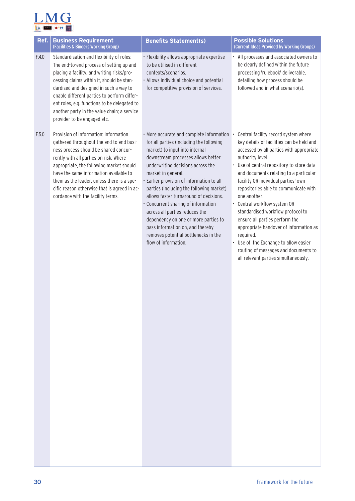

| Ref.  | <b>Business Requirement</b><br>(Facilities & Binders Working Group)                                                                                                                                                                                                                                                                                                                                     | <b>Benefits Statement(s)</b>                                                                                                                                                                                                                                                                                                                                                                                                                                                                                                                                                    | <b>Possible Solutions</b><br>(Current Ideas Provided by Working Groups)                                                                                                                                                                                                                                                                                                                                                                                                                                                                                                                                                       |
|-------|---------------------------------------------------------------------------------------------------------------------------------------------------------------------------------------------------------------------------------------------------------------------------------------------------------------------------------------------------------------------------------------------------------|---------------------------------------------------------------------------------------------------------------------------------------------------------------------------------------------------------------------------------------------------------------------------------------------------------------------------------------------------------------------------------------------------------------------------------------------------------------------------------------------------------------------------------------------------------------------------------|-------------------------------------------------------------------------------------------------------------------------------------------------------------------------------------------------------------------------------------------------------------------------------------------------------------------------------------------------------------------------------------------------------------------------------------------------------------------------------------------------------------------------------------------------------------------------------------------------------------------------------|
| F.4.0 | Standardisation and flexibility of roles:<br>The end-to-end process of setting up and<br>placing a facility, and writing risks/pro-<br>cessing claims within it, should be stan-<br>dardised and designed in such a way to<br>enable different parties to perform differ-<br>ent roles, e.g. functions to be delegated to<br>another party in the value chain; a service<br>provider to be engaged etc. | · Flexibility allows appropriate expertise<br>to be utilised in different<br>contexts/scenarios.<br>· Allows individual choice and potential<br>for competitive provision of services.                                                                                                                                                                                                                                                                                                                                                                                          | All processes and associated owners to<br>be clearly defined within the future<br>processing 'rulebook' deliverable,<br>detailing how process should be<br>followed and in what scenario(s).                                                                                                                                                                                                                                                                                                                                                                                                                                  |
| F.5.0 | Provision of Information: Information<br>gathered throughout the end to end busi-<br>ness process should be shared concur-<br>rently with all parties on risk. Where<br>appropriate, the following market should<br>have the same information available to<br>them as the leader, unless there is a spe-<br>cific reason otherwise that is agreed in ac-<br>cordance with the facility terms.           | . More accurate and complete information<br>for all parties (including the following<br>market) to input into internal<br>downstream processes allows better<br>underwriting decisions across the<br>market in general.<br>· Earlier provision of information to all<br>parties (including the following market)<br>allows faster turnaround of decisions.<br>• Concurrent sharing of information<br>across all parties reduces the<br>dependency on one or more parties to<br>pass information on, and thereby<br>removes potential bottlenecks in the<br>flow of information. | Central facility record system where<br>key details of facilities can be held and<br>accessed by all parties with appropriate<br>authority level.<br>Use of central repository to store data<br>and documents relating to a particular<br>facility OR individual parties' own<br>repositories able to communicate with<br>one another.<br>• Central workflow system OR<br>standardised workflow protocol to<br>ensure all parties perform the<br>appropriate handover of information as<br>required.<br>• Use of the Exchange to allow easier<br>routing of messages and documents to<br>all relevant parties simultaneously. |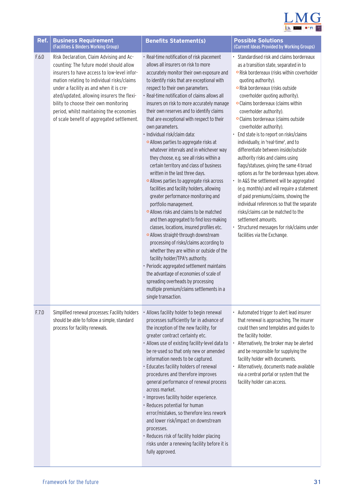

| Ref.  | <b>Business Requirement</b><br>(Facilities & Binders Working Group)                                                                                                                                                                                                                                                                                                                                          | <b>Benefits Statement(s)</b>                                                                                                                                                                                                                                                                                                                                                                                                                                                                                                                                                                                                                                                                                                                                                                                                                                                                                                                                                                                                                                                                                                                                                                                                                                                                                                                   | <b>Possible Solutions</b><br>(Current Ideas Provided by Working Groups)                                                                                                                                                                                                                                                                                                                                                                                                                                                                                                                                                                                                                                                                                                                                                                                                                                                                                                   |
|-------|--------------------------------------------------------------------------------------------------------------------------------------------------------------------------------------------------------------------------------------------------------------------------------------------------------------------------------------------------------------------------------------------------------------|------------------------------------------------------------------------------------------------------------------------------------------------------------------------------------------------------------------------------------------------------------------------------------------------------------------------------------------------------------------------------------------------------------------------------------------------------------------------------------------------------------------------------------------------------------------------------------------------------------------------------------------------------------------------------------------------------------------------------------------------------------------------------------------------------------------------------------------------------------------------------------------------------------------------------------------------------------------------------------------------------------------------------------------------------------------------------------------------------------------------------------------------------------------------------------------------------------------------------------------------------------------------------------------------------------------------------------------------|---------------------------------------------------------------------------------------------------------------------------------------------------------------------------------------------------------------------------------------------------------------------------------------------------------------------------------------------------------------------------------------------------------------------------------------------------------------------------------------------------------------------------------------------------------------------------------------------------------------------------------------------------------------------------------------------------------------------------------------------------------------------------------------------------------------------------------------------------------------------------------------------------------------------------------------------------------------------------|
| F.6.0 | Risk Declaration, Claim Advising and Ac-<br>counting: The future model should allow<br>insurers to have access to low-level infor-<br>mation relating to individual risks/claims<br>under a facility as and when it is cre-<br>ated/updated, allowing insurers the flexi-<br>bility to choose their own monitoring<br>period, whilst maintaining the economies<br>of scale benefit of aggregated settlement. | · Real-time notification of risk placement<br>allows all insurers on risk to more<br>accurately monitor their own exposure and<br>to identify risks that are exceptional with<br>respect to their own parameters.<br>· Real-time notification of claims allows all<br>insurers on risk to more accurately manage<br>their own reserves and to identify claims<br>that are exceptional with respect to their<br>own parameters.<br>· Individual risk/claim data:<br>• Allows parties to aggregate risks at<br>whatever intervals and in whichever way<br>they choose, e.g. see all risks within a<br>certain territory and class of business<br>written in the last three days.<br>• Allows parties to aggregate risk across<br>facilities and facility holders, allowing<br>greater performance monitoring and<br>portfolio management.<br>• Allows risks and claims to be matched<br>and then aggregated to find loss-making<br>classes, locations, insured profiles etc.<br>o Allows straight-through downstream<br>processing of risks/claims according to<br>whether they are within or outside of the<br>facility holder/TPA's authority.<br>· Periodic aggregated settlement maintains<br>the advantage of economies of scale of<br>spreading overheads by processing<br>multiple premium/claims settlements in a<br>single transaction. | · Standardised risk and claims bordereaux<br>as a transition state, separated in to<br><b>o</b> Risk bordereaux (risks within coverholder<br>quoting authority).<br><b>o</b> Risk bordereaux (risks outside<br>coverholder quoting authority).<br>• Claims bordereaux (claims within<br>coverholder authority).<br>· Claims bordereaux (claims outside<br>coverholder authority).<br>• End state is to report on risks/claims<br>individually, in 'real-time', and to<br>differentiate between inside/outside<br>authority risks and claims using<br>flags/statuses, giving the same 4 broad<br>options as for the bordereaux types above.<br>• In A&S the settlement will be aggregated<br>(e.g. monthly) and will require a statement<br>of paid premiums/claims, showing the<br>individual references so that the separate<br>risks/claims can be matched to the<br>settlement amounts.<br>· Structured messages for risk/claims under<br>facilities via the Exchange. |
| F.7.0 | Simplified renewal processes: Facility holders<br>should be able to follow a simple, standard<br>process for facility renewals.                                                                                                                                                                                                                                                                              | · Allows facility holder to begin renewal<br>processes sufficiently far in advance of<br>the inception of the new facility, for<br>greater contract certainty etc.<br>· Allows use of existing facility-level data to<br>be re-used so that only new or amended<br>information needs to be captured.<br>· Educates facility holders of renewal<br>procedures and therefore improves<br>general performance of renewal process<br>across market.<br>· Improves facility holder experience.<br>· Reduces potential for human<br>error/mistakes, so therefore less rework<br>and lower risk/impact on downstream<br>processes.<br>· Reduces risk of facility holder placing<br>risks under a renewing facility before it is<br>fully approved.                                                                                                                                                                                                                                                                                                                                                                                                                                                                                                                                                                                                    | • Automated trigger to alert lead insurer<br>that renewal is approaching. The insurer<br>could then send templates and guides to<br>the facility holder.<br>Alternatively, the broker may be alerted<br>and be responsible for supplying the<br>facility holder with documents.<br>· Alternatively, documents made available<br>via a central portal or system that the<br>facility holder can access.                                                                                                                                                                                                                                                                                                                                                                                                                                                                                                                                                                    |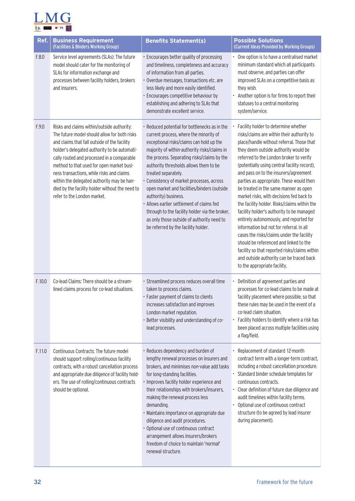

| Ref.   | <b>Business Requirement</b><br>(Facilities & Binders Working Group)                                                                                                                                                                                                                                                                                                                                                                                                | <b>Benefits Statement(s)</b>                                                                                                                                                                                                                                                                                                                                                                                                                                                                                                                                                                                | <b>Possible Solutions</b><br>(Current Ideas Provided by Working Groups)                                                                                                                                                                                                                                                                                                                                                                                                                                                                                                                                                                                                                                                                                                                                                                              |
|--------|--------------------------------------------------------------------------------------------------------------------------------------------------------------------------------------------------------------------------------------------------------------------------------------------------------------------------------------------------------------------------------------------------------------------------------------------------------------------|-------------------------------------------------------------------------------------------------------------------------------------------------------------------------------------------------------------------------------------------------------------------------------------------------------------------------------------------------------------------------------------------------------------------------------------------------------------------------------------------------------------------------------------------------------------------------------------------------------------|------------------------------------------------------------------------------------------------------------------------------------------------------------------------------------------------------------------------------------------------------------------------------------------------------------------------------------------------------------------------------------------------------------------------------------------------------------------------------------------------------------------------------------------------------------------------------------------------------------------------------------------------------------------------------------------------------------------------------------------------------------------------------------------------------------------------------------------------------|
| F.8.0  | Service level agreements (SLAs): The future<br>model should cater for the monitoring of<br>SLAs for information exchange and<br>processes between facility holders, brokers<br>and insurers.                                                                                                                                                                                                                                                                       | · Encourages better quality of processing<br>and timeliness, completeness and accuracy<br>of information from all parties.<br>· Overdue messages, transactions etc. are<br>less likely and more easily identified.<br>· Encourages competitive behaviour by<br>establishing and adhering to SLAs that<br>demonstrate excellent service.                                                                                                                                                                                                                                                                     | • One option is to have a centralised market<br>minimum standard which all participants<br>must observe, and parties can offer<br>improved SLAs on a competitive basis as<br>they wish.<br>Another option is for firms to report their<br>statuses to a central monitoring<br>system/service.                                                                                                                                                                                                                                                                                                                                                                                                                                                                                                                                                        |
| F.9.0  | Risks and claims within/outside authority:<br>The future model should allow for both risks<br>and claims that fall outside of the facility<br>holder's delegated authority to be automati-<br>cally routed and processed in a comparable<br>method to that used for open market busi-<br>ness transactions, while risks and claims<br>within the delegated authority may be han-<br>dled by the facility holder without the need to<br>refer to the London market. | · Reduced potential for bottlenecks as in the<br>current process, where the minority of<br>exceptional risks/claims can hold up the<br>majority of within-authority risks/claims in<br>the process. Separating risks/claims by the<br>authority thresholds allows them to be<br>treated separately.<br>· Consistency of market processes, across<br>open market and facilities/binders (outside<br>authority) business.<br>• Allows earlier settlement of claims fed<br>through to the facility holder via the broker,<br>as only those outside of authority need to<br>be referred by the facility holder. | Facility holder to determine whether<br>risks/claims are within their authority to<br>place/handle without referral. Those that<br>they deem outside authority would be<br>referred to the London broker to verify<br>(potentially using central facility record),<br>and pass on to the insurers/agreement<br>parties as appropriate. These would then<br>be treated in the same manner as open<br>market risks, with decisions fed back to<br>the facility holder. Risks/claims within the<br>facility holder's authority to be managed<br>entirely autonomously, and reported for<br>information but not for referral. In all<br>cases the risks/claims under the facility<br>should be referenced and linked to the<br>facility so that reported risks/claims within<br>and outside authority can be traced back<br>to the appropriate facility. |
| F.10.0 | Co-lead Claims: There should be a stream-<br>lined claims process for co-lead situations.                                                                                                                                                                                                                                                                                                                                                                          | · Streamlined process reduces overall time<br>taken to process claims.<br>· Faster payment of claims to clients<br>increases satisfaction and improves<br>London market reputation.<br>Better visibility and understanding of co-<br>lead processes.                                                                                                                                                                                                                                                                                                                                                        | Definition of agreement parties and<br>processes for co-lead claims to be made at<br>facility placement where possible, so that<br>these rules may be used in the event of a<br>co-lead claim situation.<br>• Facility holders to identify where a risk has<br>been placed across multiple facilities using<br>a flag/field.                                                                                                                                                                                                                                                                                                                                                                                                                                                                                                                         |
| F.11.0 | Continuous Contracts: The future model<br>should support rolling/continuous facility<br>contracts, with a robust cancellation process<br>and appropriate due diligence of facility hold-<br>ers. The use of rolling/continuous contracts<br>should be optional.                                                                                                                                                                                                    | · Reduces dependency and burden of<br>lengthy renewal processes on insurers and<br>brokers, and minimises non-value add tasks<br>for long-standing facilities.<br>· Improves facility holder experience and<br>their relationships with brokers/insurers,<br>making the renewal process less<br>demanding.<br>· Maintains importance on appropriate due<br>diligence and audit procedures.<br>· Optional use of continuous contract<br>arrangement allows insurers/brokers<br>freedom of choice to maintain 'normal'<br>renewal structure.                                                                  | Replacement of standard 12-month<br>contract term with a longer-term contract,<br>including a robust cancellation procedure.<br>Standard binder schedule templates for<br>٠<br>continuous contracts.<br>• Clear definition of future due diligence and<br>audit timelines within facility terms.<br>Optional use of continuous contract<br>structure (to be agreed by lead insurer<br>during placement).                                                                                                                                                                                                                                                                                                                                                                                                                                             |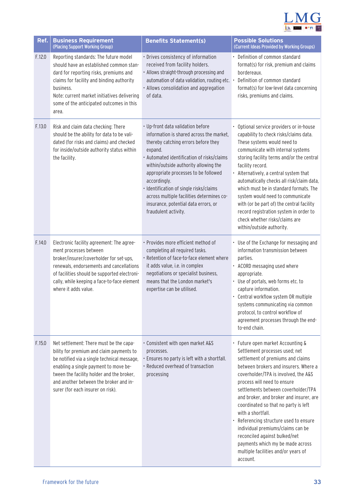

| Ref.   | <b>Business Requirement</b><br>(Placing Support Working Group)                                                                                                                                                                                                                                          | <b>Benefits Statement(s)</b>                                                                                                                                                                                                                                                                                                                                                                                                           | <b>Possible Solutions</b><br>(Current Ideas Provided by Working Groups)                                                                                                                                                                                                                                                                                                                                                                                                                                                                                                        |
|--------|---------------------------------------------------------------------------------------------------------------------------------------------------------------------------------------------------------------------------------------------------------------------------------------------------------|----------------------------------------------------------------------------------------------------------------------------------------------------------------------------------------------------------------------------------------------------------------------------------------------------------------------------------------------------------------------------------------------------------------------------------------|--------------------------------------------------------------------------------------------------------------------------------------------------------------------------------------------------------------------------------------------------------------------------------------------------------------------------------------------------------------------------------------------------------------------------------------------------------------------------------------------------------------------------------------------------------------------------------|
| F.12.0 | Reporting standards: The future model<br>should have an established common stan-<br>dard for reporting risks, premiums and<br>claims for facility and binding authority<br>business.<br>Note: current market initiatives delivering<br>some of the anticipated outcomes in this<br>area.                | · Drives consistency of information<br>received from facility holders.<br>· Allows straight-through processing and<br>automation of data validation, routing etc. •<br>· Allows consolidation and aggregation<br>of data.                                                                                                                                                                                                              | • Definition of common standard<br>format(s) for risk, premium and claims<br>bordereaux.<br>Definition of common standard<br>format(s) for low-level data concerning<br>risks, premiums and claims.                                                                                                                                                                                                                                                                                                                                                                            |
| F.13.0 | Risk and claim data checking: There<br>should be the ability for data to be vali-<br>dated (for risks and claims) and checked<br>for inside/outside authority status within<br>the facility.                                                                                                            | · Up-front data validation before<br>information is shared across the market,<br>thereby catching errors before they<br>expand.<br>· Automated identification of risks/claims<br>within/outside authority allowing the<br>appropriate processes to be followed<br>accordingly.<br>· Identification of single risks/claims<br>across multiple facilities determines co-<br>insurance, potential data errors, or<br>fraudulent activity. | • Optional service providers or in-house<br>capability to check risks/claims data.<br>These systems would need to<br>communicate with internal systems<br>storing facility terms and/or the central<br>facility record.<br>• Alternatively, a central system that<br>automatically checks all risk/claim data,<br>which must be in standard formats. The<br>system would need to communicate<br>with (or be part of) the central facility<br>record registration system in order to<br>check whether risks/claims are<br>within/outside authority.                             |
| F.14.0 | Electronic facility agreement: The agree-<br>ment processes between<br>broker/insurer/coverholder for set-ups,<br>renewals, endorsements and cancellations<br>of facilities should be supported electroni-<br>cally, while keeping a face-to-face element<br>where it adds value.                       | · Provides more efficient method of<br>completing all required tasks.<br>· Retention of face-to-face element where<br>it adds value, i.e. in complex<br>negotiations or specialist business,<br>means that the London market's<br>expertise can be utilised.                                                                                                                                                                           | • Use of the Exchange for messaging and<br>information transmission between<br>parties.<br>• ACORD messaging used where<br>appropriate.<br>• Use of portals, web forms etc. to<br>capture information.<br>• Central workflow system OR multiple<br>systems communicating via common<br>protocol, to control workflow of<br>agreement processes through the end-<br>to-end chain.                                                                                                                                                                                               |
| F.15.0 | Net settlement: There must be the capa-<br>bility for premium and claim payments to<br>be notified via a single technical message,<br>enabling a single payment to move be-<br>tween the facility holder and the broker,<br>and another between the broker and in-<br>surer (for each insurer on risk). | . Consistent with open market A&S<br>processes.<br>· Ensures no party is left with a shortfall.<br>· Reduced overhead of transaction<br>processing                                                                                                                                                                                                                                                                                     | · Future open market Accounting &<br>Settlement processes used; net<br>settlement of premiums and claims<br>between brokers and insurers. Where a<br>coverholder/TPA is involved, the A&S<br>process will need to ensure<br>settlements between coverholder/TPA<br>and broker, and broker and insurer, are<br>coordinated so that no party is left<br>with a shortfall.<br>• Referencing structure used to ensure<br>individual premiums/claims can be<br>reconciled against bulked/net<br>payments which my be made across<br>multiple facilities and/or years of<br>account. |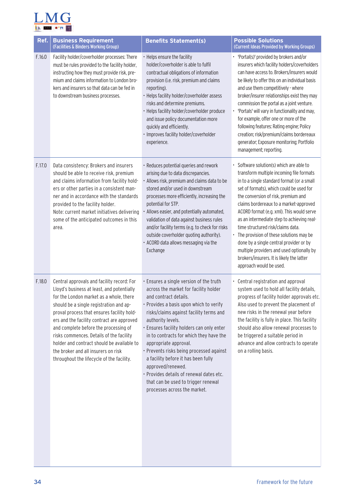

| Ref.   | <b>Business Requirement</b><br>(Facilities & Binders Working Group)                                                                                                                                                                                                                                                                                                                                                                                                                               | <b>Benefits Statement(s)</b>                                                                                                                                                                                                                                                                                                                                                                                                                                                                                                                                     | <b>Possible Solutions</b><br>(Current Ideas Provided by Working Groups)                                                                                                                                                                                                                                                                                                                                                                                                                                                                                                                                    |
|--------|---------------------------------------------------------------------------------------------------------------------------------------------------------------------------------------------------------------------------------------------------------------------------------------------------------------------------------------------------------------------------------------------------------------------------------------------------------------------------------------------------|------------------------------------------------------------------------------------------------------------------------------------------------------------------------------------------------------------------------------------------------------------------------------------------------------------------------------------------------------------------------------------------------------------------------------------------------------------------------------------------------------------------------------------------------------------------|------------------------------------------------------------------------------------------------------------------------------------------------------------------------------------------------------------------------------------------------------------------------------------------------------------------------------------------------------------------------------------------------------------------------------------------------------------------------------------------------------------------------------------------------------------------------------------------------------------|
| F.16.0 | Facility holder/coverholder processes: There<br>must be rules provided to the facility holder,<br>instructing how they must provide risk, pre-<br>mium and claims information to London bro-<br>kers and insurers so that data can be fed in<br>to downstream business processes.                                                                                                                                                                                                                 | Helps ensure the facility<br>holder/coverholder is able to fulfil<br>contractual obligations of information<br>provision (i.e. risk, premium and claims<br>reporting).<br>· Helps facility holder/coverholder assess<br>risks and determine premiums.<br>· Helps facility holder/coverholder produce<br>and issue policy documentation more<br>quickly and efficiently.<br>Improves facility holder/coverholder<br>experience.                                                                                                                                   | • 'Portal(s)' provided by brokers and/or<br>insurers which facility holders/coverholders<br>can have access to. Brokers/insurers would<br>be likely to offer this on an individual basis<br>and use them competitively - where<br>broker/insurer relationships exist they may<br>commission the portal as a joint venture.<br>• 'Portals' will vary in functionality and may,<br>for example, offer one or more of the<br>following features: Rating engine; Policy<br>creation; risk/premium/claims bordereaux<br>generator; Exposure monitoring; Portfolio<br>management; reporting.                     |
| F.17.0 | Data consistency: Brokers and insurers<br>should be able to receive risk, premium<br>and claims information from facility hold-<br>ers or other parties in a consistent man-<br>ner and in accordance with the standards<br>provided to the facility holder.<br>Note: current market initiatives delivering<br>some of the anticipated outcomes in this<br>area.                                                                                                                                  | · Reduces potential queries and rework<br>arising due to data discrepancies.<br>· Allows risk, premium and claims data to be<br>stored and/or used in downstream<br>processes more efficiently, increasing the<br>potential for STP.<br>Allows easier, and potentially automated,<br>validation of data against business rules<br>and/or facility terms (e.g. to check for risks<br>outside coverholder quoting authority).<br>· ACORD data allows messaging via the<br>Exchange                                                                                 | Software solution(s) which are able to<br>transform multiple incoming file formats<br>in to a single standard format (or a small<br>set of formats), which could be used for<br>the conversion of risk, premium and<br>claims bordereaux to a market-approved<br>ACORD format (e.g. xml). This would serve<br>as an intermediate step to achieving real-<br>time structured risk/claims data.<br>• The provision of these solutions may be<br>done by a single central provider or by<br>multiple providers and used optionally by<br>brokers/insurers. It is likely the latter<br>approach would be used. |
| F.18.0 | Central approvals and facility record: For<br>Lloyd's business at least, and potentially<br>for the London market as a whole, there<br>should be a single registration and ap-<br>proval process that ensures facility hold-<br>ers and the facility contract are approved<br>and complete before the processing of<br>risks commences. Details of the facility<br>holder and contract should be available to<br>the broker and all insurers on risk<br>throughout the lifecycle of the facility. | · Ensures a single version of the truth<br>across the market for facility holder<br>and contract details.<br>· Provides a basis upon which to verify<br>risks/claims against facility terms and<br>authority levels.<br>· Ensures facility holders can only enter<br>in to contracts for which they have the<br>appropriate approval.<br>· Prevents risks being processed against<br>a facility before it has been fully<br>approved/renewed.<br>· Provides details of renewal dates etc.<br>that can be used to trigger renewal<br>processes across the market. | • Central registration and approval<br>system used to hold all facility details,<br>progress of facility holder approvals etc.<br>Also used to prevent the placement of<br>new risks in the renewal year before<br>the facility is fully in place. This facility<br>should also allow renewal processes to<br>be triggered a suitable period in<br>advance and allow contracts to operate<br>on a rolling basis.                                                                                                                                                                                           |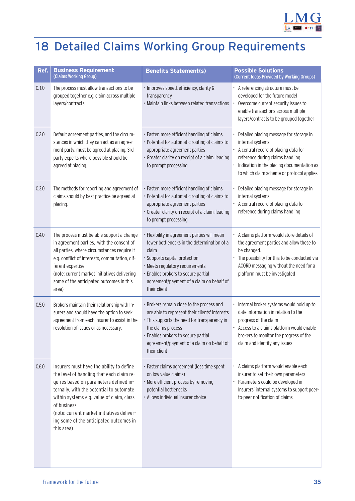

## <span id="page-35-0"></span>18 Detailed Claims Working Group Requirements

| Ref.  | <b>Business Requirement</b><br>(Claims Working Group)                                                                                                                                                                                                                                                                                          | <b>Benefits Statement(s)</b>                                                                                                                                                                                                                                                 | <b>Possible Solutions</b><br>(Current Ideas Provided by Working Groups)                                                                                                                                                                   |
|-------|------------------------------------------------------------------------------------------------------------------------------------------------------------------------------------------------------------------------------------------------------------------------------------------------------------------------------------------------|------------------------------------------------------------------------------------------------------------------------------------------------------------------------------------------------------------------------------------------------------------------------------|-------------------------------------------------------------------------------------------------------------------------------------------------------------------------------------------------------------------------------------------|
| C.1.0 | The process must allow transactions to be<br>grouped together e.g. claim across multiple<br>layers/contracts                                                                                                                                                                                                                                   | · Improves speed, efficiency, clarity &<br>transparency<br>· Maintain links between related transactions                                                                                                                                                                     | • A referencing structure must be<br>developed for the future model<br>Overcome current security issues to<br>enable transactions across multiple<br>layers/contracts to be grouped together                                              |
| C.2.0 | Default agreement parties, and the circum-<br>stances in which they can act as an agree-<br>ment party, must be agreed at placing, 3rd<br>party experts where possible should be<br>agreed at placing.                                                                                                                                         | · Faster, more efficient handling of claims<br>• Potential for automatic routing of claims to<br>appropriate agreement parties<br>· Greater clarity on receipt of a claim, leading<br>to prompt processing                                                                   | • Detailed placing message for storage in<br>internal systems<br>• A central record of placing data for<br>reference during claims handling<br>· Indication in the placing documentation as<br>to which claim scheme or protocol applies. |
| C.3.0 | The methods for reporting and agreement of<br>claims should by best practice be agreed at<br>placing.                                                                                                                                                                                                                                          | · Faster, more efficient handling of claims<br>• Potential for automatic routing of claims to<br>appropriate agreement parties<br>· Greater clarity on receipt of a claim, leading<br>to prompt processing                                                                   | • Detailed placing message for storage in<br>internal systems<br>• A central record of placing data for<br>reference during claims handling                                                                                               |
| C.4.0 | The process must be able support a change<br>in agreement parties, with the consent of<br>all parties, where circumstances require it<br>e.g. conflict of interests, commutation, dif-<br>ferent expertise<br>(note: current market initiatives delivering<br>some of the anticipated outcomes in this<br>area)                                | · Flexibility in agreement parties will mean<br>fewer bottlenecks in the determination of a<br>claim<br>· Supports capital protection<br>· Meets regulatory requirements<br>· Enables brokers to secure partial<br>agreement/payment of a claim on behalf of<br>their client | • A claims platform would store details of<br>the agreement parties and allow these to<br>be changed.<br>The possibility for this to be conducted via<br>ACORD messaging without the need for a<br>platform must be investigated          |
| C.5.0 | Brokers maintain their relationship with In-<br>surers and should have the option to seek<br>agreement from each insurer to assist in the<br>resolution of issues or as necessary.                                                                                                                                                             | • Brokers remain close to the process and<br>are able to represent their clients' interests<br>• This supports the need for transparency in<br>the claims process<br>· Enables brokers to secure partial<br>agreement/payment of a claim on behalf of<br>their client        | · Internal broker systems would hold up to<br>date information in relation to the<br>progress of the claim<br>• Access to a claims platform would enable<br>brokers to monitor the progress of the<br>claim and identify any issues       |
| C.6.0 | Insurers must have the ability to define<br>the level of handling that each claim re-<br>quires based on parameters defined in-<br>ternally, with the potential to automate<br>within systems e.g. value of claim, class<br>of business<br>(note: current market initiatives deliver-<br>ing some of the anticipated outcomes in<br>this area) | · Faster claims agreement (less time spent<br>on low value claims)<br>· More efficient process by removing<br>potential bottlenecks<br>· Allows individual insurer choice                                                                                                    | · A claims platform would enable each<br>insurer to set their own parameters<br>• Parameters could be developed in<br>Insurers' internal systems to support peer-<br>to-peer notification of claims                                       |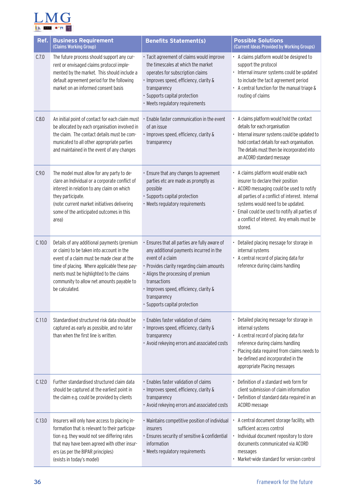

| Ref.   | <b>Business Requirement</b><br>(Claims Working Group)                                                                                                                                                                                                                                            | <b>Benefits Statement(s)</b>                                                                                                                                                                                                                                                                               | <b>Possible Solutions</b><br>(Current Ideas Provided by Working Groups)                                                                                                                                                                                                                                                |
|--------|--------------------------------------------------------------------------------------------------------------------------------------------------------------------------------------------------------------------------------------------------------------------------------------------------|------------------------------------------------------------------------------------------------------------------------------------------------------------------------------------------------------------------------------------------------------------------------------------------------------------|------------------------------------------------------------------------------------------------------------------------------------------------------------------------------------------------------------------------------------------------------------------------------------------------------------------------|
| C.7.0  | The future process should support any cur-<br>rent or envisaged claims protocol imple-<br>mented by the market. This should include a<br>default agreement period for the following<br>market on an informed consent basis                                                                       | · Tacit agreement of claims would improve<br>the timescales at which the market<br>operates for subscription claims<br>· Improves speed, efficiency, clarity &<br>transparency<br>· Supports capital protection<br>• Meets regulatory requirements                                                         | • A claims platform would be designed to<br>support the protocol<br>· Internal insurer systems could be updated<br>to include the tacit agreement period<br>• A central function for the manual triage &<br>routing of claims                                                                                          |
| C.8.0  | An initial point of contact for each claim must<br>be allocated by each organisation involved in<br>the claim. The contact details must be com-<br>municated to all other appropriate parties<br>and maintained in the event of any changes                                                      | Enable faster communication in the event<br>of an issue<br>· Improves speed, efficiency, clarity &<br>transparency                                                                                                                                                                                         | A claims platform would hold the contact<br>details for each organisation<br>Internal insurer systems could be updated to<br>hold contact details for each organisation.<br>The details must then be incorporated into<br>an ACORD standard message                                                                    |
| C.9.0  | The model must allow for any party to de-<br>clare an Individual or a corporate conflict of<br>interest in relation to any claim on which<br>they participate.<br>(note: current market initiatives delivering<br>some of the anticipated outcomes in this<br>area)                              | · Ensure that any changes to agreement<br>parties etc are made as promptly as<br>possible<br>· Supports capital protection<br>· Meets regulatory requirements                                                                                                                                              | · A claims platform would enable each<br>insurer to declare their position<br>ACORD messaging could be used to notify<br>all parties of a conflict of interest. Internal<br>systems would need to be updated.<br>Email could be used to notify all parties of<br>a conflict of interest. Any emails must be<br>stored. |
| C.10.0 | Details of any additional payments (premium<br>or claim) to be taken into account in the<br>event of a claim must be made clear at the<br>time of placing. Where applicable these pay-<br>ments must be highlighted to the claims<br>community to allow net amounts payable to<br>be calculated. | Ensures that all parties are fully aware of<br>any additional payments incurred in the<br>event of a claim<br>• Provides clarity regarding claim amounts<br>· Aligns the processing of premium<br>transactions<br>· Improves speed, efficiency, clarity &<br>transparency<br>· Supports capital protection | Detailed placing message for storage in<br>internal systems<br>• A central record of placing data for<br>reference during claims handling                                                                                                                                                                              |
| C.11.0 | Standardised structured risk data should be<br>captured as early as possible, and no later<br>than when the first line is written.                                                                                                                                                               | · Enables faster validation of claims<br>· Improves speed, efficiency, clarity &<br>transparency<br>• Avoid rekeying errors and associated costs                                                                                                                                                           | Detailed placing message for storage in<br>internal systems<br>• A central record of placing data for<br>reference during claims handling<br>Placing data required from claims needs to<br>be defined and incorporated in the<br>appropriate Placing messages                                                          |
| C.12.0 | Further standardised structured claim data<br>should be captured at the earliest point in<br>the claim e.g. could be provided by clients                                                                                                                                                         | · Enables faster validation of claims<br>· Improves speed, efficiency, clarity &<br>transparency<br>• Avoid rekeying errors and associated costs                                                                                                                                                           | Definition of a standard web form for<br>client submission of claim information<br>• Definition of standard data required in an<br>ACORD message                                                                                                                                                                       |
| C.13.0 | Insurers will only have access to placing in-<br>formation that is relevant to their participa-<br>tion e.g. they would not see differing rates<br>that may have been agreed with other insur-<br>ers (as per the BIPAR principles)<br>(exists in today's model)                                 | · Maintains competitive position of individual<br>insurers<br>· Ensures security of sensitive & confidential<br>information<br>• Meets regulatory requirements                                                                                                                                             | A central document storage facility, with<br>sufficient access control<br>Individual document repository to store<br>documents communicated via ACORD<br>messages<br>Market-wide standard for version control                                                                                                          |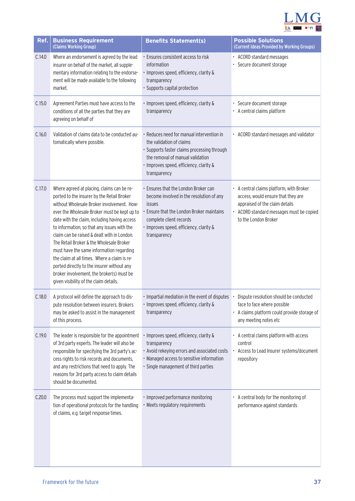

| Ref.   | <b>Business Requirement</b><br>(Claims Working Group)                                                                                                                                                                                                                                                                                                                                                                                                                                                                                                                                                             | <b>Benefits Statement(s)</b>                                                                                                                                                                                                     | <b>Possible Solutions</b><br>(Current Ideas Provided by Working Groups)                                                                                                              |
|--------|-------------------------------------------------------------------------------------------------------------------------------------------------------------------------------------------------------------------------------------------------------------------------------------------------------------------------------------------------------------------------------------------------------------------------------------------------------------------------------------------------------------------------------------------------------------------------------------------------------------------|----------------------------------------------------------------------------------------------------------------------------------------------------------------------------------------------------------------------------------|--------------------------------------------------------------------------------------------------------------------------------------------------------------------------------------|
| C.14.0 | Where an endorsement is agreed by the lead<br>insurer on behalf of the market, all supple-<br>mentary information relating to the endorse-<br>ment will be made available to the following<br>market.                                                                                                                                                                                                                                                                                                                                                                                                             | Ensures consistent access to risk<br>information<br>· Improves speed, efficiency, clarity &<br>transparency<br>· Supports capital protection                                                                                     | • ACORD standard messages<br>· Secure document storage                                                                                                                               |
| C.15.0 | Agreement Parties must have access to the<br>conditions of all the parties that they are<br>agreeing on behalf of                                                                                                                                                                                                                                                                                                                                                                                                                                                                                                 | · Improves speed, efficiency, clarity &<br>transparency                                                                                                                                                                          | · Secure document storage<br>• A central claims platform                                                                                                                             |
| C.16.0 | Validation of claims data to be conducted au-<br>tomatically where possible.                                                                                                                                                                                                                                                                                                                                                                                                                                                                                                                                      | • Reduces need for manual intervention in<br>the validation of claims<br>· Supports faster claims processing through<br>the removal of manual validation<br>· Improves speed, efficiency, clarity &<br>transparency              | • ACORD standard messages and validator                                                                                                                                              |
| C.17.0 | Where agreed at placing, claims can be re-<br>ported to the insurer by the Retail Broker<br>without Wholesale Broker involvement. How-<br>ever the Wholesale Broker must be kept up to<br>date with the claim, including having access<br>to information, so that any issues with the<br>claim can be raised & dealt with in London.<br>The Retail Broker & the Wholesale Broker<br>must have the same information regarding<br>the claim at all times. Where a claim is re-<br>ported directly to the insurer without any<br>broker involvement, the broker(s) must be<br>given visibility of the claim details. | Ensures that the London Broker can<br>become involved in the resolution of any<br><i>issues</i><br>Ensure that the London Broker maintains<br>complete client records<br>· Improves speed, efficiency, clarity &<br>transparency | • A central claims platform, with Broker<br>access, would ensure that they are<br>appraised of the claim details<br>• ACORD standard messages must be copied<br>to the London Broker |
| C.18.0 | A protocol will define the approach to dis-<br>pute resolution between insurers. Brokers<br>may be asked to assist in the management<br>of this process.                                                                                                                                                                                                                                                                                                                                                                                                                                                          | · Impartial mediation in the event of disputes<br>· Improves speed, efficiency, clarity &<br>transparency                                                                                                                        | • Dispute resolution should be conducted<br>face to face where possible<br>A claims platform could provide storage of<br>any meeting notes etc                                       |
| C.19.0 | The leader is responsible for the appointment<br>of 3rd party experts. The leader will also be<br>responsible for specifying the 3rd party's ac-<br>cess rights to risk records and documents,<br>and any restrictions that need to apply. The<br>reasons for 3rd party access to claim details<br>should be documented.                                                                                                                                                                                                                                                                                          | Improves speed, efficiency, clarity &<br>transparency<br>• Avoid rekeying errors and associated costs<br>· Managed access to sensitive information<br>· Single management of third parties                                       | • A central claims platform with access<br>control<br>Access to Lead Insurer systems/document<br>repository                                                                          |
| C.20.0 | The process must support the implementa-<br>tion of operational protocols for the handling<br>of claims, e.g. target response times.                                                                                                                                                                                                                                                                                                                                                                                                                                                                              | · Improved performance monitoring<br>• Meets regulatory requirements                                                                                                                                                             | • A central body for the monitoring of<br>performance against standards                                                                                                              |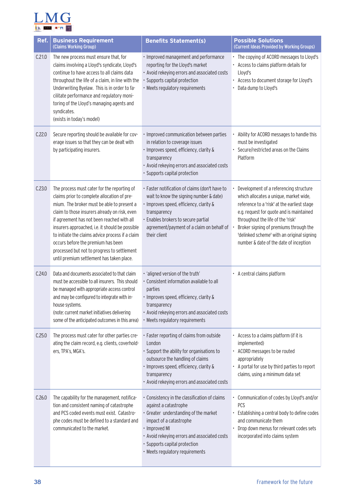

| Ref.   | <b>Business Requirement</b><br>(Claims Working Group)                                                                                                                                                                                                                                                                                                                                                                                                                            | <b>Benefits Statement(s)</b>                                                                                                                                                                                                                                                    | <b>Possible Solutions</b><br>(Current Ideas Provided by Working Groups)                                                                                                                                                                                                                                                                            |
|--------|----------------------------------------------------------------------------------------------------------------------------------------------------------------------------------------------------------------------------------------------------------------------------------------------------------------------------------------------------------------------------------------------------------------------------------------------------------------------------------|---------------------------------------------------------------------------------------------------------------------------------------------------------------------------------------------------------------------------------------------------------------------------------|----------------------------------------------------------------------------------------------------------------------------------------------------------------------------------------------------------------------------------------------------------------------------------------------------------------------------------------------------|
| C.21.0 | The new process must ensure that, for<br>claims involving a Lloyd's syndicate, Lloyd's<br>continue to have access to all claims data<br>throughout the life of a claim, in line with the<br>Underwriting Byelaw. This is in order to fa-<br>cilitate performance and regulatory moni-<br>toring of the Lloyd's managing agents and<br>syndicates.<br>(exists in today's model)                                                                                                   | · Improved management and performance<br>reporting for the Lloyd's market<br>• Avoid rekeying errors and associated costs<br>· Supports capital protection<br>· Meets regulatory requirements                                                                                   | • The copying of ACORD messages to Lloyd's<br>• Access to claims platform details for<br>Lloyd's<br>• Access to document storage for Lloyd's<br>Data dump to Lloyd's                                                                                                                                                                               |
| C.22.0 | Secure reporting should be available for cov-<br>erage issues so that they can be dealt with<br>by participating insurers.                                                                                                                                                                                                                                                                                                                                                       | · Improved communication between parties<br>in relation to coverage issues<br>· Improves speed, efficiency, clarity &<br>transparency<br>· Avoid rekeying errors and associated costs<br>· Supports capital protection                                                          | Ability for ACORD messages to handle this<br>must be investigated<br>Secure/restricted areas on the Claims<br>Platform                                                                                                                                                                                                                             |
| C.23.0 | The process must cater for the reporting of<br>claims prior to complete allocation of pre-<br>mium. The broker must be able to present a<br>claim to those insurers already on risk, even<br>if agreement has not been reached with all<br>insurers approached, i.e. it should be possible<br>to initiate the claims advice process if a claim<br>occurs before the premium has been<br>processed but not to progress to settlement<br>until premium settlement has taken place. | · Faster notification of claims (don't have to<br>wait to know the signing number & date)<br>· Improves speed, efficiency, clarity &<br>transparency<br>· Enables brokers to secure partial<br>agreement/payment of a claim on behalf of<br>their client                        | Development of a referencing structure<br>which allocates a unique, market wide,<br>reference to a 'risk' at the earliest stage<br>e.g. request for quote and is maintained<br>throughout the life of the 'risk'<br>Broker signing of premiums through the<br>'delinked scheme' with an original signing<br>number & date of the date of inception |
| C.24.0 | Data and documents associated to that claim<br>must be accessible to all insurers. This should<br>be managed with appropriate access control<br>and may be configured to integrate with in-<br>house systems.<br>(note: current market initiatives delivering<br>some of the anticipated outcomes in this area)                                                                                                                                                                  | · 'aligned version of the truth'<br>· Consistent information available to all<br>parties<br>· Improves speed, efficiency, clarity &<br>transparency<br>• Avoid rekeying errors and associated costs<br>• Meets regulatory requirements                                          | • A central claims platform                                                                                                                                                                                                                                                                                                                        |
| C.25.0 | The process must cater for other parties cre-<br>ating the claim record, e.g. clients, coverhold-<br>ers, TPA's, MGA's.                                                                                                                                                                                                                                                                                                                                                          | · Faster reporting of claims from outside<br>London<br>· Support the ability for organisations to<br>outsource the handling of claims<br>· Improves speed, efficiency, clarity &<br>transparency<br>• Avoid rekeying errors and associated costs                                | • Access to a claims platform (if it is<br>implemented)<br>• ACORD messages to be routed<br>appropriately<br>• A portal for use by third parties to report<br>claims, using a minimum data set                                                                                                                                                     |
| C.26.0 | The capability for the management, notifica-<br>tion and consistent naming of catastrophe<br>and PCS coded events must exist. Catastro-<br>phe codes must be defined to a standard and<br>communicated to the market.                                                                                                                                                                                                                                                            | • Consistency in the classification of claims<br>against a catastrophe<br>· Greater understanding of the market<br>impact of a catastrophe<br>· Improved MI<br>• Avoid rekeying errors and associated costs<br>· Supports capital protection<br>• Meets regulatory requirements | • Communication of codes by Lloyd's and/or<br>PCS<br>Establishing a central body to define codes<br>and communicate them<br>Drop down menus for relevant codes sets<br>incorporated into claims system                                                                                                                                             |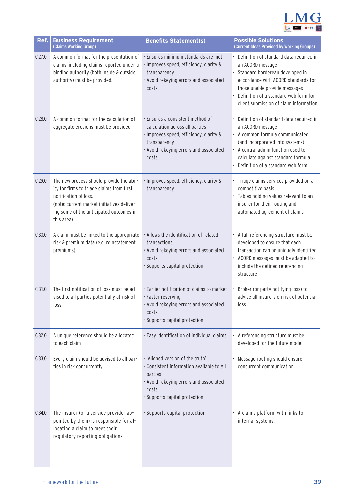

| Ref.   | <b>Business Requirement</b><br>(Claims Working Group)                                                                                                                                                                 | <b>Benefits Statement(s)</b>                                                                                                                                                     | <b>Possible Solutions</b><br>(Current Ideas Provided by Working Groups)                                                                                                                                                                                         |
|--------|-----------------------------------------------------------------------------------------------------------------------------------------------------------------------------------------------------------------------|----------------------------------------------------------------------------------------------------------------------------------------------------------------------------------|-----------------------------------------------------------------------------------------------------------------------------------------------------------------------------------------------------------------------------------------------------------------|
| C.27.0 | A common format for the presentation of<br>claims, including claims reported under a<br>binding authority (both inside & outside<br>authority) must be provided.                                                      | · Ensures minimum standards are met<br>· Improves speed, efficiency, clarity &<br>transparency<br>· Avoid rekeying errors and associated<br>costs                                | • Definition of standard data required in<br>an ACORD message<br>· Standard bordereau developed in<br>accordance with ACORD standards for<br>those unable provide messages<br>• Definition of a standard web form for<br>client submission of claim information |
| C.28.0 | A common format for the calculation of<br>aggregate erosions must be provided                                                                                                                                         | · Ensures a consistent method of<br>calculation across all parties<br>· Improves speed, efficiency, clarity &<br>transparency<br>· Avoid rekeying errors and associated<br>costs | • Definition of standard data required in<br>an ACORD message<br>• A common formula communicated<br>(and incorporated into systems)<br>• A central admin function used to<br>calculate against standard formula<br>• Definition of a standard web form          |
| C.29.0 | The new process should provide the abil-<br>ity for firms to triage claims from first<br>notification of loss.<br>(note: current market initiatives deliver-<br>ing some of the anticipated outcomes in<br>this area) | · Improves speed, efficiency, clarity &<br>transparency                                                                                                                          | · Triage claims services provided on a<br>competitive basis<br>· Tables holding values relevant to an<br>insurer for their routing and<br>automated agreement of claims                                                                                         |
| C.30.0 | A claim must be linked to the appropriate<br>risk & premium data (e.g. reinstatement<br>premiums)                                                                                                                     | · Allows the identification of related<br>transactions<br>· Avoid rekeying errors and associated<br>costs<br>· Supports capital protection                                       | • A full referencing structure must be<br>developed to ensure that each<br>transaction can be uniquely identified<br>• ACORD messages must be adapted to<br>include the defined referencing<br>structure                                                        |
| C.31.0 | The first notification of loss must be ad-<br>vised to all parties potentially at risk of<br>loss                                                                                                                     | . Earlier notification of claims to market<br>· Faster reserving<br>· Avoid rekeying errors and associated<br>costs<br>· Supports capital protection                             | · Broker (or party notifying loss) to<br>advise all insurers on risk of potential<br>loss                                                                                                                                                                       |
| C.32.0 | A unique reference should be allocated<br>to each claim                                                                                                                                                               | · Easy identification of individual claims                                                                                                                                       | • A referencing structure must be<br>developed for the future model                                                                                                                                                                                             |
| C.33.0 | Every claim should be advised to all par-<br>ties in risk concurrently                                                                                                                                                | · 'Aligned version of the truth'<br>· Consistent information available to all<br>parties<br>· Avoid rekeying errors and associated<br>costs<br>· Supports capital protection     | • Message routing should ensure<br>concurrent communication                                                                                                                                                                                                     |
| C.34.0 | The insurer (or a service provider ap-<br>pointed by them) is responsible for al-<br>locating a claim to meet their<br>regulatory reporting obligations                                                               | · Supports capital protection                                                                                                                                                    | • A claims platform with links to<br>internal systems.                                                                                                                                                                                                          |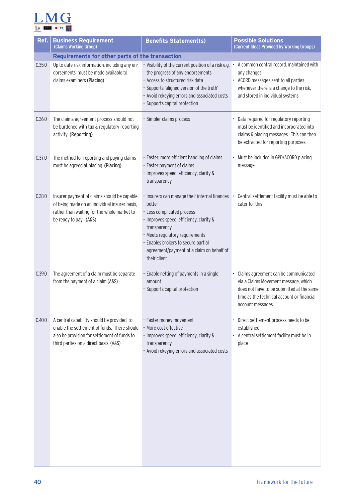

| Ref.   | <b>Business Requirement</b><br>(Claims Working Group)                                                                                                                                 | <b>Benefits Statement(s)</b>                                                                                                                                                                                                                                                            | <b>Possible Solutions</b><br>(Current Ideas Provided by Working Groups)                                                                                                                      |
|--------|---------------------------------------------------------------------------------------------------------------------------------------------------------------------------------------|-----------------------------------------------------------------------------------------------------------------------------------------------------------------------------------------------------------------------------------------------------------------------------------------|----------------------------------------------------------------------------------------------------------------------------------------------------------------------------------------------|
| C.35.0 | Requirements for other parts of the transaction<br>Up to date risk information, including any en-<br>dorsements, must be made available to<br>claims examiners (Placing)              | · Visibility of the current position of a risk e.g.<br>the progress of any endorsements<br>· Access to structured risk data<br>· Supports 'aligned version of the truth'<br>• Avoid rekeying errors and associated costs<br>· Supports capital protection                               | A common central record, maintained with<br>any changes<br>• ACORD messages sent to all parties<br>whenever there is a change to the risk,<br>and stored in individual systems               |
| C.36.0 | The claims agreement process should not<br>be burdened with tax & regulatory reporting<br>activity. (Reporting)                                                                       | · Simpler claims process                                                                                                                                                                                                                                                                | Data required for regulatory reporting<br>must be identified and incorporated into<br>claims & placing messages. This can then<br>be extracted for reporting purposes                        |
| C.37.0 | The method for reporting and paying claims<br>must be agreed at placing. (Placing)                                                                                                    | · Faster, more efficient handling of claims<br>· Faster payment of claims<br>· Improves speed, efficiency, clarity &<br>transparency                                                                                                                                                    | • Must be included in GPD/ACORD placing<br>message                                                                                                                                           |
| C.38.0 | Insurer payment of claims should be capable<br>of being made on an individual insurer basis,<br>rather than waiting for the whole market to<br>be ready to pay. (A&S)                 | · Insurers can manage their internal finances<br>better<br>· Less complicated process<br>· Improves speed, efficiency, clarity &<br>transparency<br>· Meets regulatory requirements<br>· Enables brokers to secure partial<br>agreement/payment of a claim on behalf of<br>their client | Central settlement facility must be able to<br>cater for this                                                                                                                                |
| C.39.0 | The agreement of a claim must be separate<br>from the payment of a claim (A&S)                                                                                                        | · Enable netting of payments in a single<br>amount<br>· Supports capital protection                                                                                                                                                                                                     | Claims agreement can be communicated<br>via a Claims Movement message, which<br>does not have to be submitted at the same<br>time as the technical account or financial<br>account messages. |
| C.40.0 | A central capability should be provided, to<br>enable the settlement of funds. There should<br>also be provision for settlement of funds to<br>third parties on a direct basis. (A&S) | · Faster money movement<br>· More cost effective<br>· Improves speed, efficiency, clarity &<br>transparency<br>• Avoid rekeying errors and associated costs                                                                                                                             | • Direct settlement process needs to be<br>established<br>• A central settlement facility must be in<br>place                                                                                |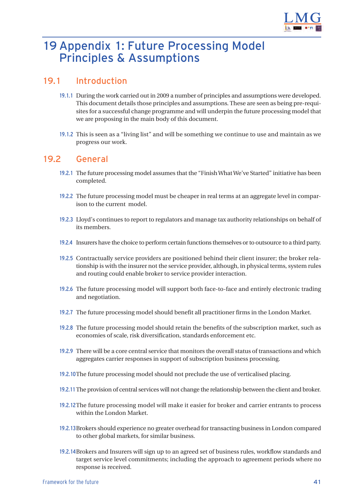

## <span id="page-41-0"></span>19 Appendix 1: Future Processing Model Principles & Assumptions

#### 19.1 Introduction

- 19.1.1 During the work carried out in 2009 a number of principles and assumptions were developed. This document details those principles and assumptions. These are seen as being pre-requisites for a successful change programme and will underpin the future processing model that we are proposing in the main body of this document.
- 19.1.2 This is seen as a "living list" and will be something we continue to use and maintain as we progress our work.

#### 19.2 General

- 19.2.1 The future processing model assumes that the "Finish What We've Started" initiative has been completed.
- 19.2.2 The future processing model must be cheaper in real terms at an aggregate level in comparison to the current model.
- 19.2.3 Lloyd's continues to report to regulators and manage tax authority relationships on behalf of its members.
- 19.2.4 Insurers have the choice to perform certain functions themselves or to outsource to a third party.
- 19.2.5 Contractually service providers are positioned behind their client insurer; the broker relationship is with the insurer not the service provider, although, in physical terms, system rules and routing could enable broker to service provider interaction.
- 19.2.6 The future processing model will support both face-to-face and entirely electronic trading and negotiation.
- 19.2.7 The future processing model should benefit all practitioner firms in the London Market.
- 19.2.8 The future processing model should retain the benefits of the subscription market, such as economies of scale, risk diversification, standards enforcement etc.
- 19.2.9 There will be a core central service that monitors the overall status of transactions and which aggregates carrier responses in support of subscription business processing.
- 19.2.10The future processing model should not preclude the use of verticalised placing.
- 19.2.11The provision of central services will not change the relationship between the client and broker.
- 19.2.12The future processing model will make it easier for broker and carrier entrants to process within the London Market.
- 19.2.13Brokers should experience no greater overhead for transacting business in London compared to other global markets, for similar business.
- 19.2.14Brokers and Insurers will sign up to an agreed set of business rules, workflow standards and target service level commitments; including the approach to agreement periods where no response is received.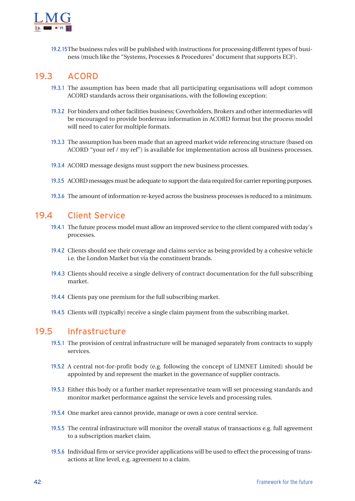

19.2.15The business rules will be published with instructions for processing different types of business (much like the "Systems, Processes & Procedures" document that supports ECF).

#### 19.3 ACORD

- 19.3.1 The assumption has been made that all participating organisations will adopt common ACORD standards across their organisations, with the following exception:
- 19.3.2 For binders and other facilities business; Coverholders, Brokers and other intermediaries will be encouraged to provide bordereau information in ACORD format but the process model will need to cater for multiple formats.
- 19.3.3 The assumption has been made that an agreed market wide referencing structure (based on ACORD "your ref / my ref") is available for implementation across all business processes.
- 19.3.4 ACORD message designs must support the new business processes.
- 19.3.5 ACORD messages must be adequate to support the data required for carrier reporting purposes.
- 19.3.6 The amount of information re-keyed across the business processes is reduced to a minimum.

#### 19.4 Client Service

- 19.4.1 The future process model must allow an improved service to the client compared with today's processes.
- 19.4.2 Clients should see their coverage and claims service as being provided by a cohesive vehicle i.e. the London Market but via the constituent brands.
- 19.4.3 Clients should receive a single delivery of contract documentation for the full subscribing market.
- 19.4.4 Clients pay one premium for the full subscribing market.
- 19.4.5 Clients will (typically) receive a single claim payment from the subscribing market.

#### 19.5 Infrastructure

- 19.5.1 The provision of central infrastructure will be managed separately from contracts to supply services.
- 19.5.2 A central not-for-profit body (e.g. following the concept of LIMNET Limited) should be appointed by and represent the market in the governance of supplier contracts.
- 19.5.3 Either this body or a further market representative team will set processing standards and monitor market performance against the service levels and processing rules.
- 19.5.4 One market area cannot provide, manage or own a core central service.
- 19.5.5 The central infrastructure will monitor the overall status of transactions e.g. full agreement to a subscription market claim.
- 19.5.6 Individual firm or service provider applications will be used to effect the processing of transactions at line level, e.g. agreement to a claim.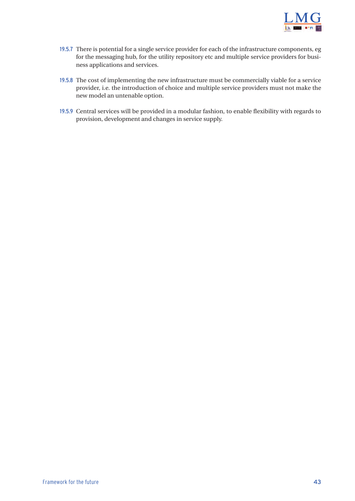

- 19.5.7 There is potential for a single service provider for each of the infrastructure components, eg for the messaging hub, for the utility repository etc and multiple service providers for business applications and services.
- 19.5.8 The cost of implementing the new infrastructure must be commercially viable for a service provider, i.e. the introduction of choice and multiple service providers must not make the new model an untenable option.
- 19.5.9 Central services will be provided in a modular fashion, to enable flexibility with regards to provision, development and changes in service supply.